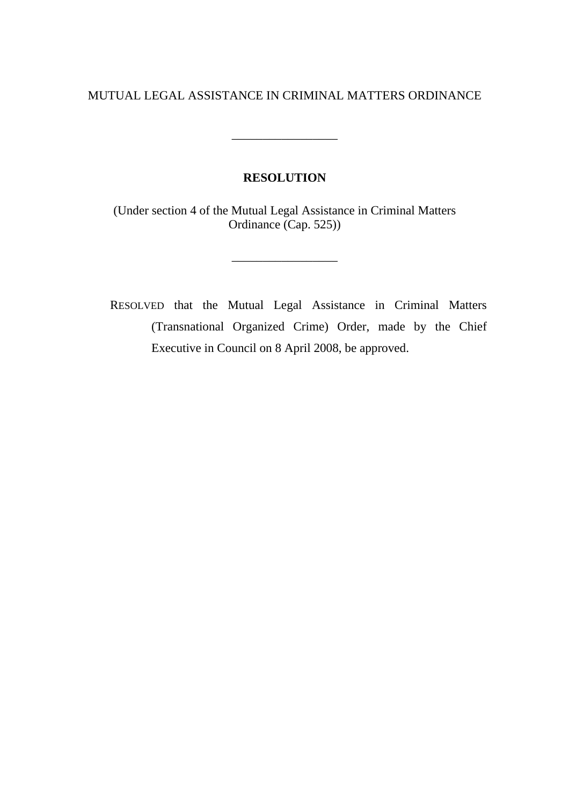# MUTUAL LEGAL ASSISTANCE IN CRIMINAL MATTERS ORDINANCE

\_\_\_\_\_\_\_\_\_\_\_\_\_\_\_\_\_

# **RESOLUTION**

(Under section 4 of the Mutual Legal Assistance in Criminal Matters Ordinance (Cap. 525))

\_\_\_\_\_\_\_\_\_\_\_\_\_\_\_\_\_

RESOLVED that the Mutual Legal Assistance in Criminal Matters (Transnational Organized Crime) Order, made by the Chief Executive in Council on 8 April 2008, be approved.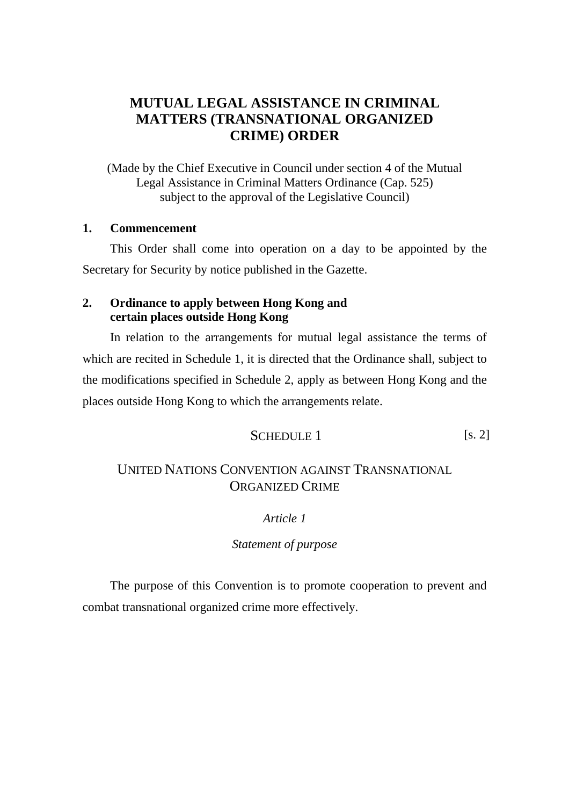# **MUTUAL LEGAL ASSISTANCE IN CRIMINAL MATTERS (TRANSNATIONAL ORGANIZED CRIME) ORDER**

(Made by the Chief Executive in Council under section 4 of the Mutual Legal Assistance in Criminal Matters Ordinance (Cap. 525) subject to the approval of the Legislative Council)

# **1. Commencement**

This Order shall come into operation on a day to be appointed by the Secretary for Security by notice published in the Gazette.

# **2. Ordinance to apply between Hong Kong and certain places outside Hong Kong**

In relation to the arrangements for mutual legal assistance the terms of which are recited in Schedule 1, it is directed that the Ordinance shall, subject to the modifications specified in Schedule 2, apply as between Hong Kong and the places outside Hong Kong to which the arrangements relate.

# SCHEDULE 1 [s. 2]

# UNITED NATIONS CONVENTION AGAINST TRANSNATIONAL ORGANIZED CRIME

# *Article 1*

*Statement of purpose*

 The purpose of this Convention is to promote cooperation to prevent and combat transnational organized crime more effectively.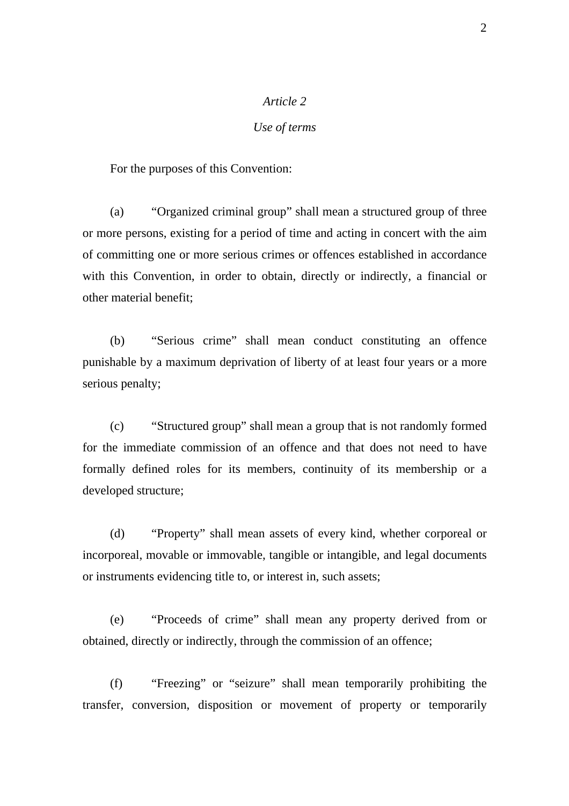### *Use of terms*

For the purposes of this Convention:

 (a) "Organized criminal group" shall mean a structured group of three or more persons, existing for a period of time and acting in concert with the aim of committing one or more serious crimes or offences established in accordance with this Convention, in order to obtain, directly or indirectly, a financial or other material benefit;

 (b) "Serious crime" shall mean conduct constituting an offence punishable by a maximum deprivation of liberty of at least four years or a more serious penalty;

 (c) "Structured group" shall mean a group that is not randomly formed for the immediate commission of an offence and that does not need to have formally defined roles for its members, continuity of its membership or a developed structure;

 (d) "Property" shall mean assets of every kind, whether corporeal or incorporeal, movable or immovable, tangible or intangible, and legal documents or instruments evidencing title to, or interest in, such assets;

 (e) "Proceeds of crime" shall mean any property derived from or obtained, directly or indirectly, through the commission of an offence;

 (f) "Freezing" or "seizure" shall mean temporarily prohibiting the transfer, conversion, disposition or movement of property or temporarily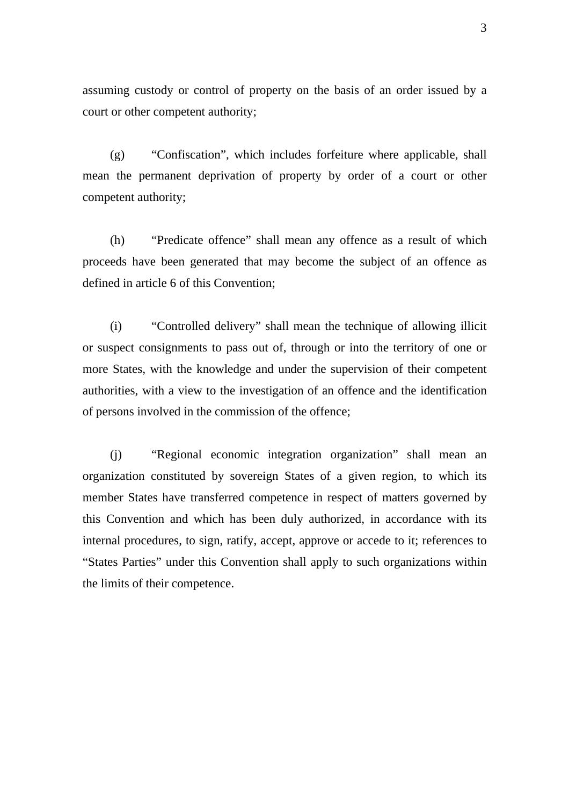assuming custody or control of property on the basis of an order issued by a court or other competent authority;

 (g) "Confiscation", which includes forfeiture where applicable, shall mean the permanent deprivation of property by order of a court or other competent authority;

 (h) "Predicate offence" shall mean any offence as a result of which proceeds have been generated that may become the subject of an offence as defined in article 6 of this Convention;

 (i) "Controlled delivery" shall mean the technique of allowing illicit or suspect consignments to pass out of, through or into the territory of one or more States, with the knowledge and under the supervision of their competent authorities, with a view to the investigation of an offence and the identification of persons involved in the commission of the offence;

 (j) "Regional economic integration organization" shall mean an organization constituted by sovereign States of a given region, to which its member States have transferred competence in respect of matters governed by this Convention and which has been duly authorized, in accordance with its internal procedures, to sign, ratify, accept, approve or accede to it; references to "States Parties" under this Convention shall apply to such organizations within the limits of their competence.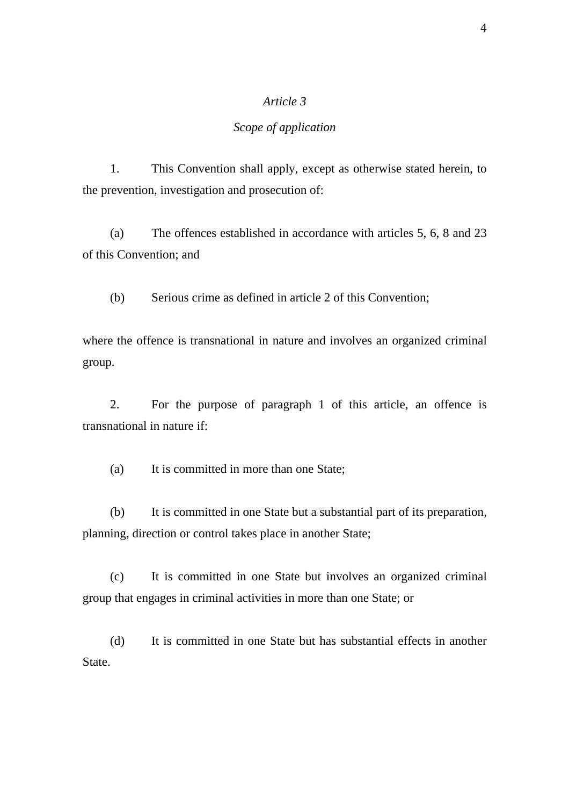### *Scope of application*

 1. This Convention shall apply, except as otherwise stated herein, to the prevention, investigation and prosecution of:

 (a) The offences established in accordance with articles 5, 6, 8 and 23 of this Convention; and

(b) Serious crime as defined in article 2 of this Convention;

where the offence is transnational in nature and involves an organized criminal group.

 2. For the purpose of paragraph 1 of this article, an offence is transnational in nature if:

(a) It is committed in more than one State;

 (b) It is committed in one State but a substantial part of its preparation, planning, direction or control takes place in another State;

 (c) It is committed in one State but involves an organized criminal group that engages in criminal activities in more than one State; or

 (d) It is committed in one State but has substantial effects in another State.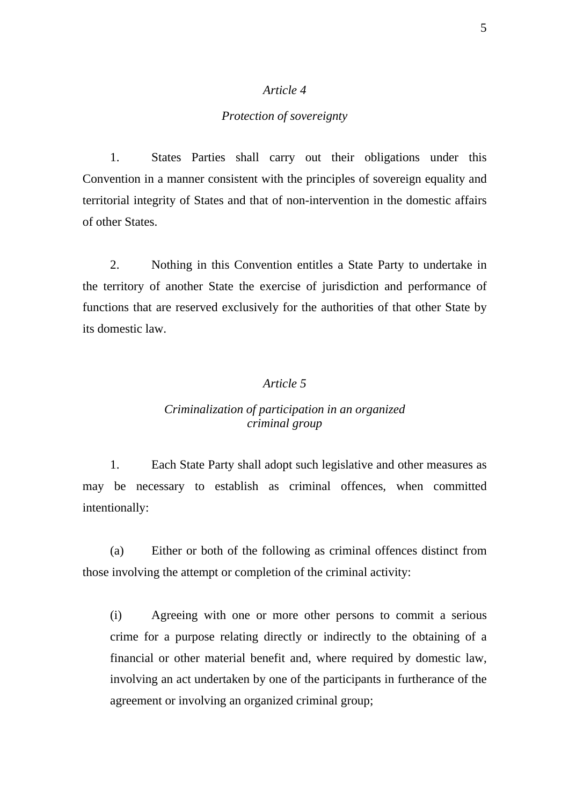### *Protection of sovereignty*

 1. States Parties shall carry out their obligations under this Convention in a manner consistent with the principles of sovereign equality and territorial integrity of States and that of non-intervention in the domestic affairs of other States.

 2. Nothing in this Convention entitles a State Party to undertake in the territory of another State the exercise of jurisdiction and performance of functions that are reserved exclusively for the authorities of that other State by its domestic law.

# *Article 5*

# *Criminalization of participation in an organized criminal group*

 1. Each State Party shall adopt such legislative and other measures as may be necessary to establish as criminal offences, when committed intentionally:

 (a) Either or both of the following as criminal offences distinct from those involving the attempt or completion of the criminal activity:

(i) Agreeing with one or more other persons to commit a serious crime for a purpose relating directly or indirectly to the obtaining of a financial or other material benefit and, where required by domestic law, involving an act undertaken by one of the participants in furtherance of the agreement or involving an organized criminal group;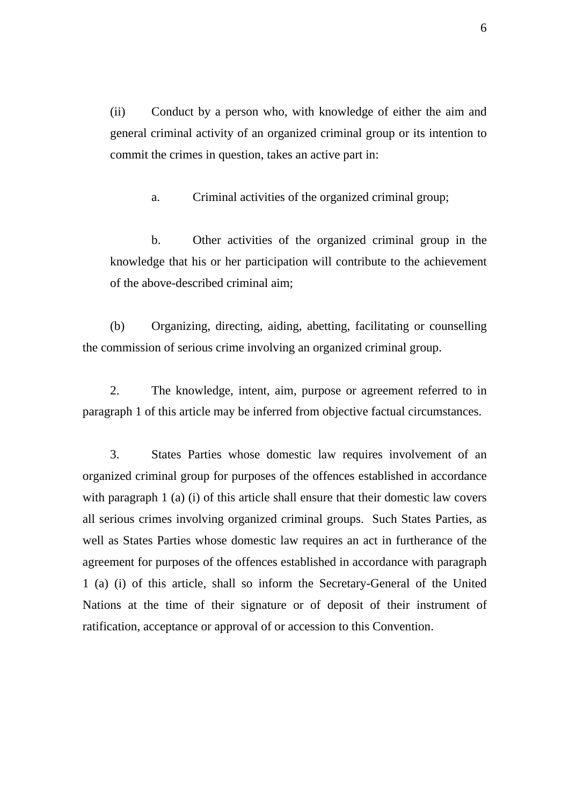(ii) Conduct by a person who, with knowledge of either the aim and general criminal activity of an organized criminal group or its intention to commit the crimes in question, takes an active part in:

a. Criminal activities of the organized criminal group;

 b. Other activities of the organized criminal group in the knowledge that his or her participation will contribute to the achievement of the above-described criminal aim;

 (b) Organizing, directing, aiding, abetting, facilitating or counselling the commission of serious crime involving an organized criminal group.

 2. The knowledge, intent, aim, purpose or agreement referred to in paragraph 1 of this article may be inferred from objective factual circumstances.

 3. States Parties whose domestic law requires involvement of an organized criminal group for purposes of the offences established in accordance with paragraph 1 (a) (i) of this article shall ensure that their domestic law covers all serious crimes involving organized criminal groups. Such States Parties, as well as States Parties whose domestic law requires an act in furtherance of the agreement for purposes of the offences established in accordance with paragraph 1 (a) (i) of this article, shall so inform the Secretary-General of the United Nations at the time of their signature or of deposit of their instrument of ratification, acceptance or approval of or accession to this Convention.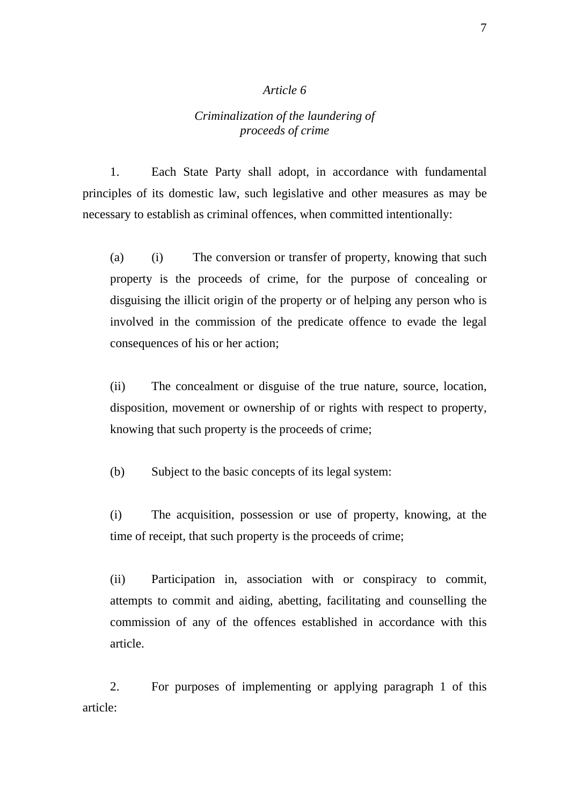# *Criminalization of the laundering of proceeds of crime*

 1. Each State Party shall adopt, in accordance with fundamental principles of its domestic law, such legislative and other measures as may be necessary to establish as criminal offences, when committed intentionally:

(a) (i) The conversion or transfer of property, knowing that such property is the proceeds of crime, for the purpose of concealing or disguising the illicit origin of the property or of helping any person who is involved in the commission of the predicate offence to evade the legal consequences of his or her action;

(ii) The concealment or disguise of the true nature, source, location, disposition, movement or ownership of or rights with respect to property, knowing that such property is the proceeds of crime;

(b) Subject to the basic concepts of its legal system:

(i) The acquisition, possession or use of property, knowing, at the time of receipt, that such property is the proceeds of crime;

(ii) Participation in, association with or conspiracy to commit, attempts to commit and aiding, abetting, facilitating and counselling the commission of any of the offences established in accordance with this article.

 2. For purposes of implementing or applying paragraph 1 of this article: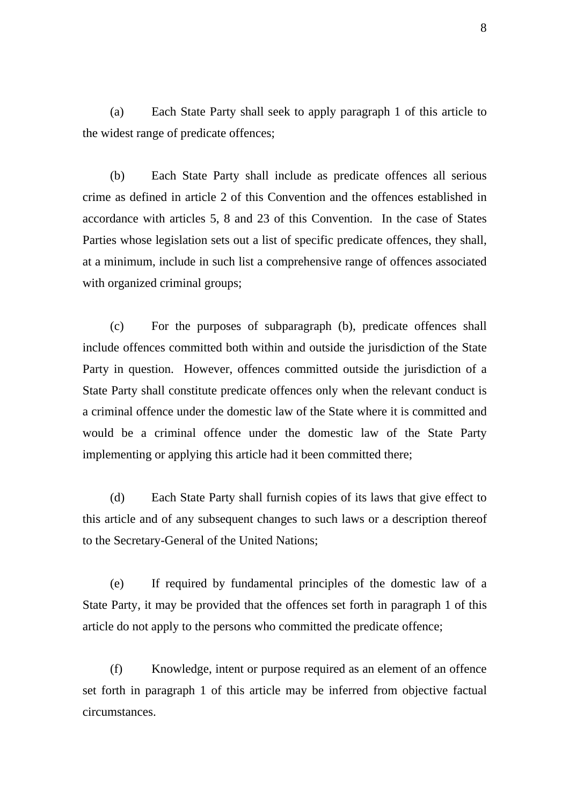(a) Each State Party shall seek to apply paragraph 1 of this article to the widest range of predicate offences;

 (b) Each State Party shall include as predicate offences all serious crime as defined in article 2 of this Convention and the offences established in accordance with articles 5, 8 and 23 of this Convention. In the case of States Parties whose legislation sets out a list of specific predicate offences, they shall, at a minimum, include in such list a comprehensive range of offences associated with organized criminal groups;

 (c) For the purposes of subparagraph (b), predicate offences shall include offences committed both within and outside the jurisdiction of the State Party in question. However, offences committed outside the jurisdiction of a State Party shall constitute predicate offences only when the relevant conduct is a criminal offence under the domestic law of the State where it is committed and would be a criminal offence under the domestic law of the State Party implementing or applying this article had it been committed there;

 (d) Each State Party shall furnish copies of its laws that give effect to this article and of any subsequent changes to such laws or a description thereof to the Secretary-General of the United Nations;

 (e) If required by fundamental principles of the domestic law of a State Party, it may be provided that the offences set forth in paragraph 1 of this article do not apply to the persons who committed the predicate offence;

 (f) Knowledge, intent or purpose required as an element of an offence set forth in paragraph 1 of this article may be inferred from objective factual circumstances.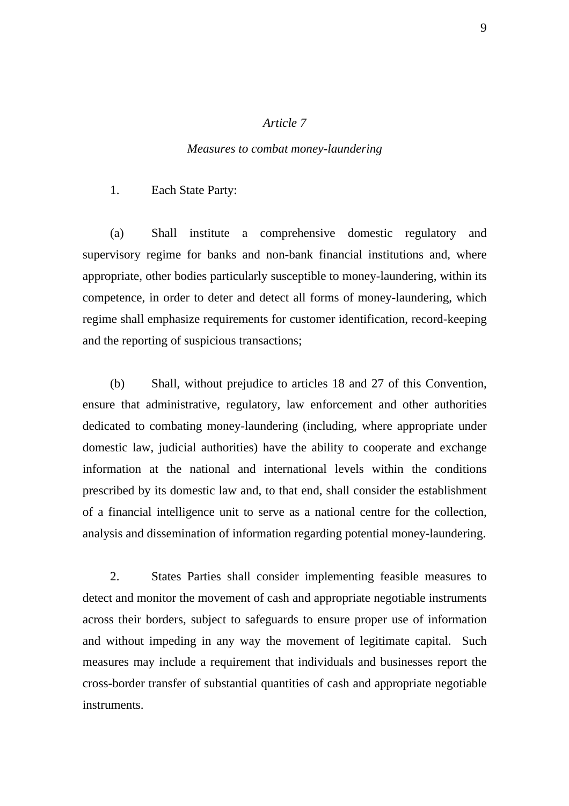### *Measures to combat money-laundering*

1. Each State Party:

 (a) Shall institute a comprehensive domestic regulatory and supervisory regime for banks and non-bank financial institutions and, where appropriate, other bodies particularly susceptible to money-laundering, within its competence, in order to deter and detect all forms of money-laundering, which regime shall emphasize requirements for customer identification, record-keeping and the reporting of suspicious transactions;

 (b) Shall, without prejudice to articles 18 and 27 of this Convention, ensure that administrative, regulatory, law enforcement and other authorities dedicated to combating money-laundering (including, where appropriate under domestic law, judicial authorities) have the ability to cooperate and exchange information at the national and international levels within the conditions prescribed by its domestic law and, to that end, shall consider the establishment of a financial intelligence unit to serve as a national centre for the collection, analysis and dissemination of information regarding potential money-laundering.

 2. States Parties shall consider implementing feasible measures to detect and monitor the movement of cash and appropriate negotiable instruments across their borders, subject to safeguards to ensure proper use of information and without impeding in any way the movement of legitimate capital. Such measures may include a requirement that individuals and businesses report the cross-border transfer of substantial quantities of cash and appropriate negotiable instruments.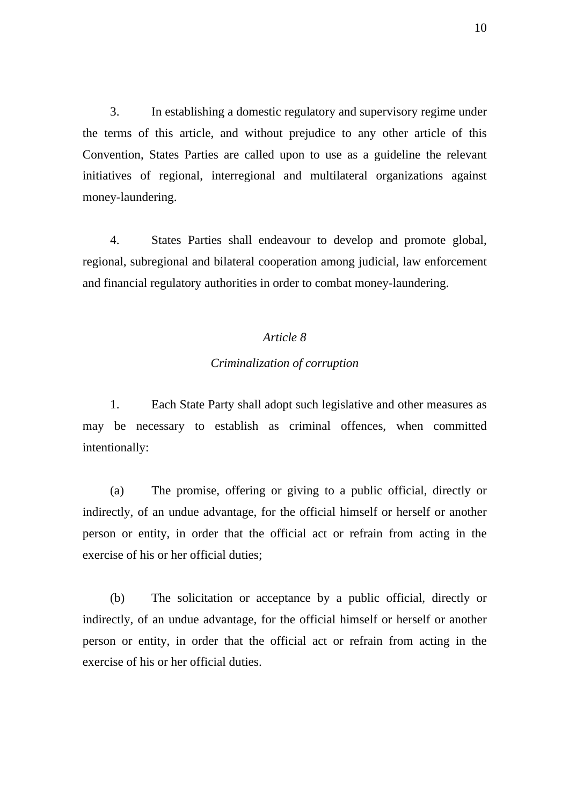3. In establishing a domestic regulatory and supervisory regime under the terms of this article, and without prejudice to any other article of this Convention, States Parties are called upon to use as a guideline the relevant initiatives of regional, interregional and multilateral organizations against money-laundering.

 4. States Parties shall endeavour to develop and promote global, regional, subregional and bilateral cooperation among judicial, law enforcement and financial regulatory authorities in order to combat money-laundering.

### *Article 8*

### *Criminalization of corruption*

 1. Each State Party shall adopt such legislative and other measures as may be necessary to establish as criminal offences, when committed intentionally:

 (a) The promise, offering or giving to a public official, directly or indirectly, of an undue advantage, for the official himself or herself or another person or entity, in order that the official act or refrain from acting in the exercise of his or her official duties;

 (b) The solicitation or acceptance by a public official, directly or indirectly, of an undue advantage, for the official himself or herself or another person or entity, in order that the official act or refrain from acting in the exercise of his or her official duties.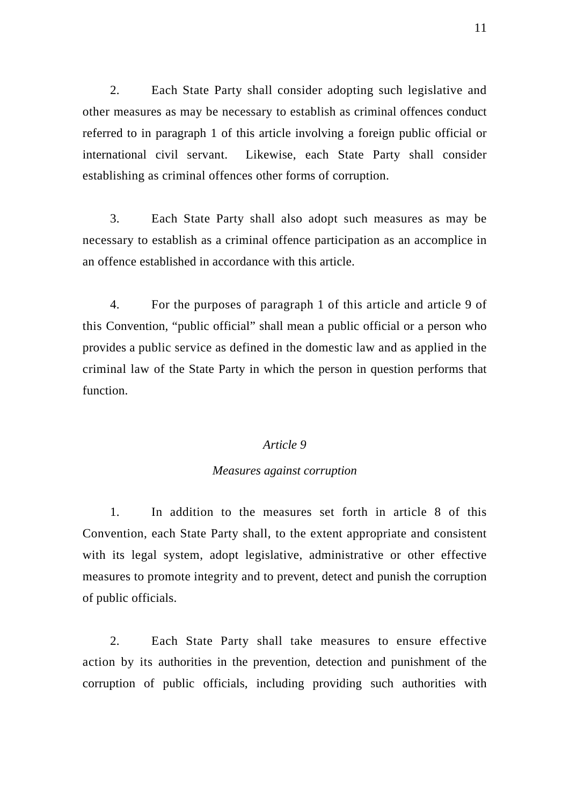2. Each State Party shall consider adopting such legislative and other measures as may be necessary to establish as criminal offences conduct referred to in paragraph 1 of this article involving a foreign public official or international civil servant. Likewise, each State Party shall consider establishing as criminal offences other forms of corruption.

 3. Each State Party shall also adopt such measures as may be necessary to establish as a criminal offence participation as an accomplice in an offence established in accordance with this article.

 4. For the purposes of paragraph 1 of this article and article 9 of this Convention, "public official" shall mean a public official or a person who provides a public service as defined in the domestic law and as applied in the criminal law of the State Party in which the person in question performs that function.

### *Article 9*

### *Measures against corruption*

 1. In addition to the measures set forth in article 8 of this Convention, each State Party shall, to the extent appropriate and consistent with its legal system, adopt legislative, administrative or other effective measures to promote integrity and to prevent, detect and punish the corruption of public officials.

 2. Each State Party shall take measures to ensure effective action by its authorities in the prevention, detection and punishment of the corruption of public officials, including providing such authorities with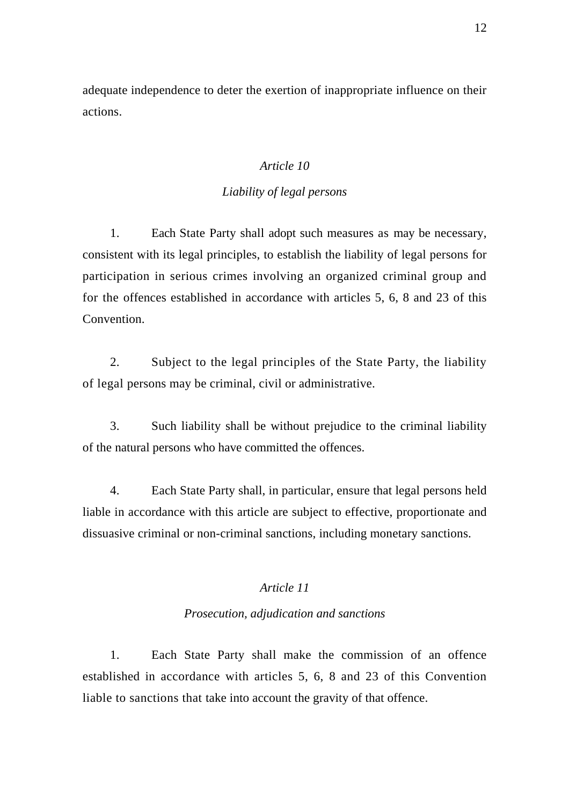adequate independence to deter the exertion of inappropriate influence on their actions.

# *Article 10*

# *Liability of legal persons*

 1. Each State Party shall adopt such measures as may be necessary, consistent with its legal principles, to establish the liability of legal persons for participation in serious crimes involving an organized criminal group and for the offences established in accordance with articles 5, 6, 8 and 23 of this Convention.

 2. Subject to the legal principles of the State Party, the liability of legal persons may be criminal, civil or administrative.

 3. Such liability shall be without prejudice to the criminal liability of the natural persons who have committed the offences.

 4. Each State Party shall, in particular, ensure that legal persons held liable in accordance with this article are subject to effective, proportionate and dissuasive criminal or non-criminal sanctions, including monetary sanctions.

# *Article 11*

# *Prosecution, adjudication and sanctions*

 1. Each State Party shall make the commission of an offence established in accordance with articles 5, 6, 8 and 23 of this Convention liable to sanctions that take into account the gravity of that offence.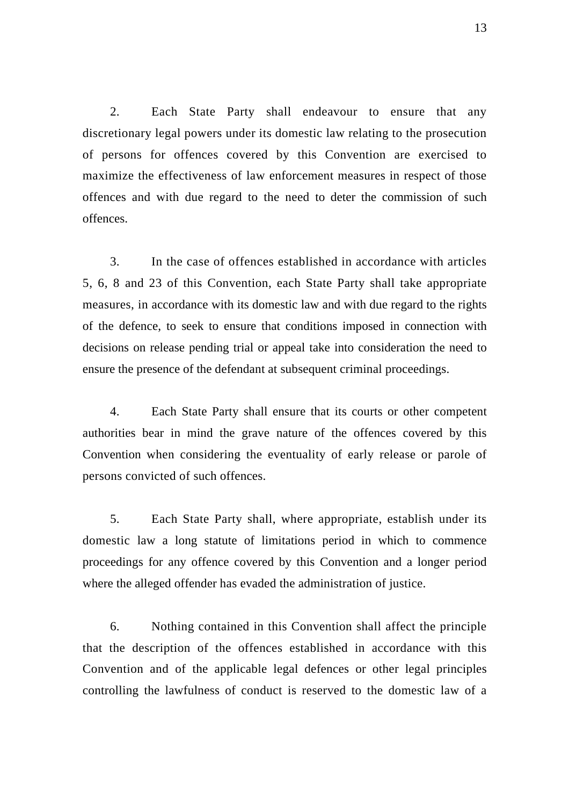2. Each State Party shall endeavour to ensure that any discretionary legal powers under its domestic law relating to the prosecution of persons for offences covered by this Convention are exercised to maximize the effectiveness of law enforcement measures in respect of those offences and with due regard to the need to deter the commission of such offences.

 3. In the case of offences established in accordance with articles 5, 6, 8 and 23 of this Convention, each State Party shall take appropriate measures, in accordance with its domestic law and with due regard to the rights of the defence, to seek to ensure that conditions imposed in connection with decisions on release pending trial or appeal take into consideration the need to ensure the presence of the defendant at subsequent criminal proceedings.

 4. Each State Party shall ensure that its courts or other competent authorities bear in mind the grave nature of the offences covered by this Convention when considering the eventuality of early release or parole of persons convicted of such offences.

 5. Each State Party shall, where appropriate, establish under its domestic law a long statute of limitations period in which to commence proceedings for any offence covered by this Convention and a longer period where the alleged offender has evaded the administration of justice.

 6. Nothing contained in this Convention shall affect the principle that the description of the offences established in accordance with this Convention and of the applicable legal defences or other legal principles controlling the lawfulness of conduct is reserved to the domestic law of a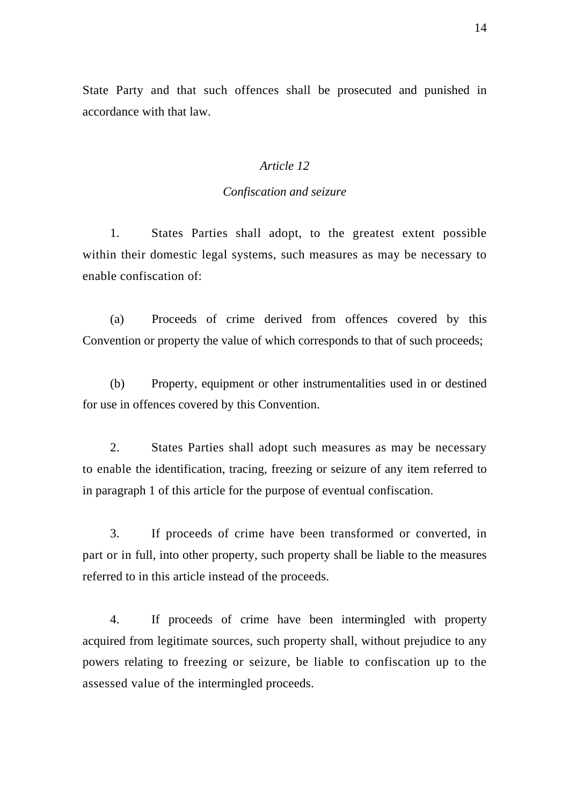State Party and that such offences shall be prosecuted and punished in accordance with that law.

### *Article 12*

### *Confiscation and seizure*

 1. States Parties shall adopt, to the greatest extent possible within their domestic legal systems, such measures as may be necessary to enable confiscation of:

 (a) Proceeds of crime derived from offences covered by this Convention or property the value of which corresponds to that of such proceeds;

 (b) Property, equipment or other instrumentalities used in or destined for use in offences covered by this Convention.

 2. States Parties shall adopt such measures as may be necessary to enable the identification, tracing, freezing or seizure of any item referred to in paragraph 1 of this article for the purpose of eventual confiscation.

 3. If proceeds of crime have been transformed or converted, in part or in full, into other property, such property shall be liable to the measures referred to in this article instead of the proceeds.

 4. If proceeds of crime have been intermingled with property acquired from legitimate sources, such property shall, without prejudice to any powers relating to freezing or seizure, be liable to confiscation up to the assessed value of the intermingled proceeds.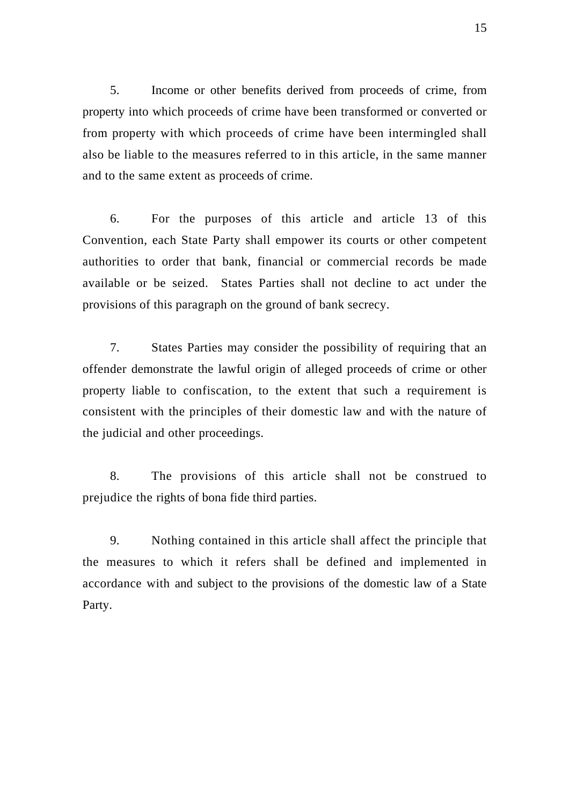5. Income or other benefits derived from proceeds of crime, from property into which proceeds of crime have been transformed or converted or from property with which proceeds of crime have been intermingled shall also be liable to the measures referred to in this article, in the same manner and to the same extent as proceeds of crime.

 6. For the purposes of this article and article 13 of this Convention, each State Party shall empower its courts or other competent authorities to order that bank, financial or commercial records be made available or be seized. States Parties shall not decline to act under the provisions of this paragraph on the ground of bank secrecy.

 7. States Parties may consider the possibility of requiring that an offender demonstrate the lawful origin of alleged proceeds of crime or other property liable to confiscation, to the extent that such a requirement is consistent with the principles of their domestic law and with the nature of the judicial and other proceedings.

 8. The provisions of this article shall not be construed to prejudice the rights of bona fide third parties.

 9. Nothing contained in this article shall affect the principle that the measures to which it refers shall be defined and implemented in accordance with and subject to the provisions of the domestic law of a State Party.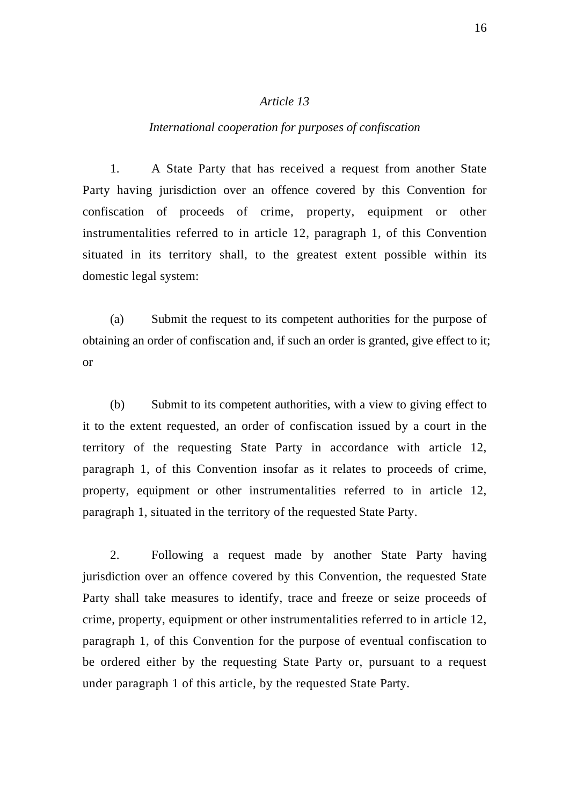### *International cooperation for purposes of confiscation*

 1. A State Party that has received a request from another State Party having jurisdiction over an offence covered by this Convention for confiscation of proceeds of crime, property, equipment or other instrumentalities referred to in article 12, paragraph 1, of this Convention situated in its territory shall, to the greatest extent possible within its domestic legal system:

 (a) Submit the request to its competent authorities for the purpose of obtaining an order of confiscation and, if such an order is granted, give effect to it; or

 (b) Submit to its competent authorities, with a view to giving effect to it to the extent requested, an order of confiscation issued by a court in the territory of the requesting State Party in accordance with article 12, paragraph 1, of this Convention insofar as it relates to proceeds of crime, property, equipment or other instrumentalities referred to in article 12, paragraph 1, situated in the territory of the requested State Party.

 2. Following a request made by another State Party having jurisdiction over an offence covered by this Convention, the requested State Party shall take measures to identify, trace and freeze or seize proceeds of crime, property, equipment or other instrumentalities referred to in article 12, paragraph 1, of this Convention for the purpose of eventual confiscation to be ordered either by the requesting State Party or, pursuant to a request under paragraph 1 of this article, by the requested State Party.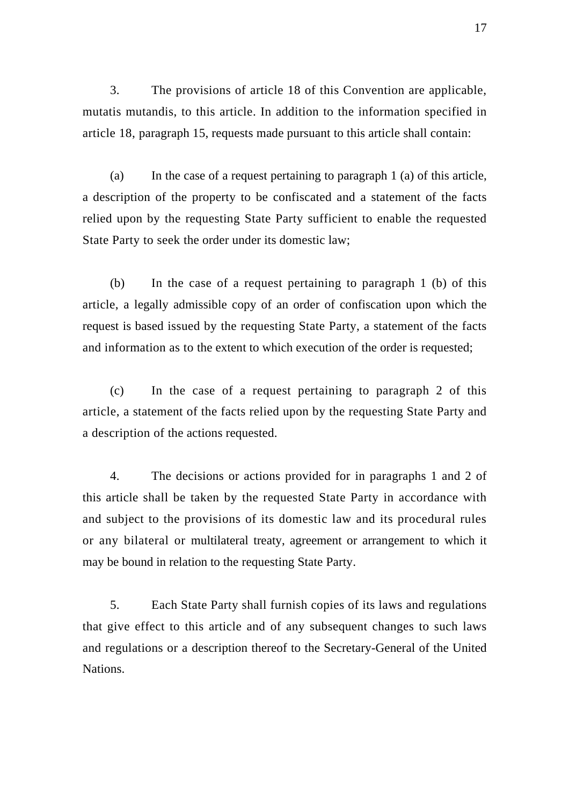3. The provisions of article 18 of this Convention are applicable, mutatis mutandis, to this article. In addition to the information specified in article 18, paragraph 15, requests made pursuant to this article shall contain:

 (a) In the case of a request pertaining to paragraph 1 (a) of this article, a description of the property to be confiscated and a statement of the facts relied upon by the requesting State Party sufficient to enable the requested State Party to seek the order under its domestic law;

 (b) In the case of a request pertaining to paragraph 1 (b) of this article, a legally admissible copy of an order of confiscation upon which the request is based issued by the requesting State Party, a statement of the facts and information as to the extent to which execution of the order is requested;

 (c) In the case of a request pertaining to paragraph 2 of this article, a statement of the facts relied upon by the requesting State Party and a description of the actions requested.

 4. The decisions or actions provided for in paragraphs 1 and 2 of this article shall be taken by the requested State Party in accordance with and subject to the provisions of its domestic law and its procedural rules or any bilateral or multilateral treaty, agreement or arrangement to which it may be bound in relation to the requesting State Party.

 5. Each State Party shall furnish copies of its laws and regulations that give effect to this article and of any subsequent changes to such laws and regulations or a description thereof to the Secretary-General of the United Nations.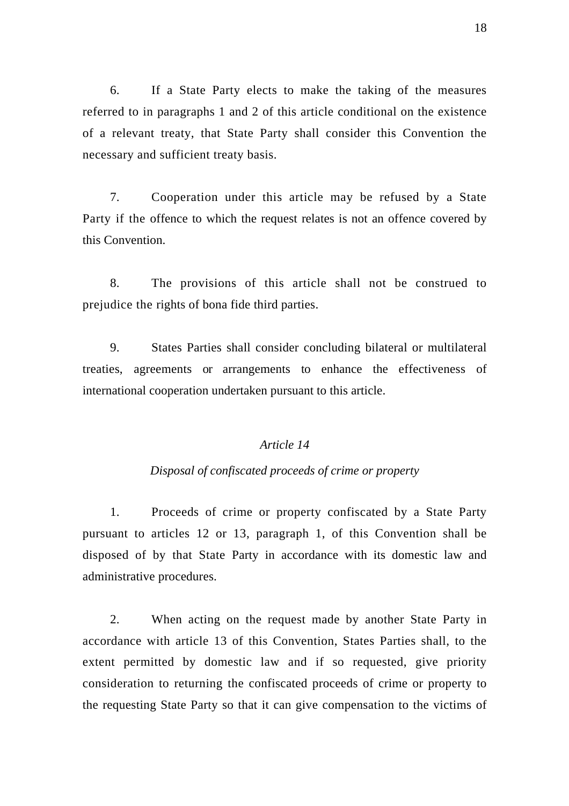6. If a State Party elects to make the taking of the measures referred to in paragraphs 1 and 2 of this article conditional on the existence of a relevant treaty, that State Party shall consider this Convention the necessary and sufficient treaty basis.

 7. Cooperation under this article may be refused by a State Party if the offence to which the request relates is not an offence covered by this Convention.

 8. The provisions of this article shall not be construed to prejudice the rights of bona fide third parties.

 9. States Parties shall consider concluding bilateral or multilateral treaties, agreements or arrangements to enhance the effectiveness of international cooperation undertaken pursuant to this article.

### *Article 14*

### *Disposal of confiscated proceeds of crime or property*

 1. Proceeds of crime or property confiscated by a State Party pursuant to articles 12 or 13, paragraph 1, of this Convention shall be disposed of by that State Party in accordance with its domestic law and administrative procedures.

 2. When acting on the request made by another State Party in accordance with article 13 of this Convention, States Parties shall, to the extent permitted by domestic law and if so requested, give priority consideration to returning the confiscated proceeds of crime or property to the requesting State Party so that it can give compensation to the victims of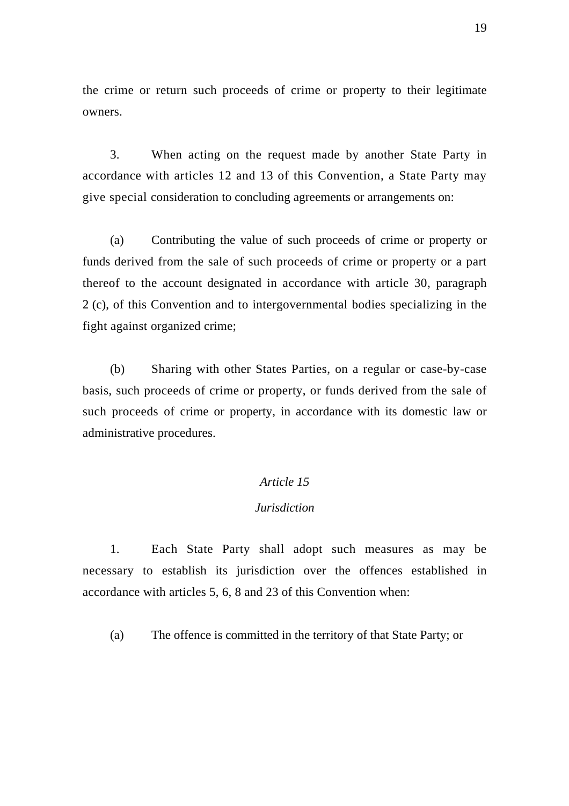the crime or return such proceeds of crime or property to their legitimate owners.

 3. When acting on the request made by another State Party in accordance with articles 12 and 13 of this Convention, a State Party may give special consideration to concluding agreements or arrangements on:

 (a) Contributing the value of such proceeds of crime or property or funds derived from the sale of such proceeds of crime or property or a part thereof to the account designated in accordance with article 30, paragraph 2 (c), of this Convention and to intergovernmental bodies specializing in the fight against organized crime;

 (b) Sharing with other States Parties, on a regular or case-by-case basis, such proceeds of crime or property, or funds derived from the sale of such proceeds of crime or property, in accordance with its domestic law or administrative procedures.

### *Article 15*

# *Jurisdiction*

 1. Each State Party shall adopt such measures as may be necessary to establish its jurisdiction over the offences established in accordance with articles 5, 6, 8 and 23 of this Convention when:

(a) The offence is committed in the territory of that State Party; or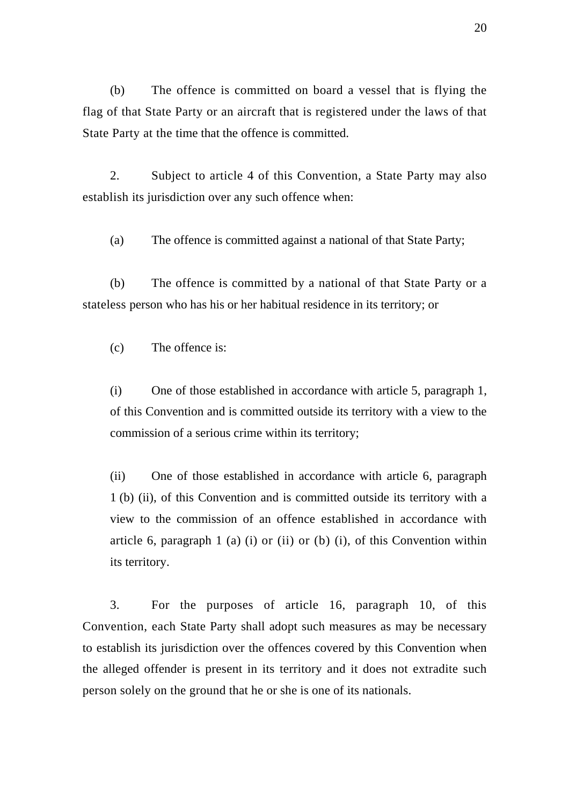(b) The offence is committed on board a vessel that is flying the flag of that State Party or an aircraft that is registered under the laws of that State Party at the time that the offence is committed.

 2. Subject to article 4 of this Convention, a State Party may also establish its jurisdiction over any such offence when:

(a) The offence is committed against a national of that State Party;

 (b) The offence is committed by a national of that State Party or a stateless person who has his or her habitual residence in its territory; or

(c) The offence is:

(i) One of those established in accordance with article 5, paragraph 1, of this Convention and is committed outside its territory with a view to the commission of a serious crime within its territory;

(ii) One of those established in accordance with article 6, paragraph 1 (b) (ii), of this Convention and is committed outside its territory with a view to the commission of an offence established in accordance with article 6, paragraph 1 (a) (i) or (ii) or (b) (i), of this Convention within its territory.

 3. For the purposes of article 16, paragraph 10, of this Convention, each State Party shall adopt such measures as may be necessary to establish its jurisdiction over the offences covered by this Convention when the alleged offender is present in its territory and it does not extradite such person solely on the ground that he or she is one of its nationals.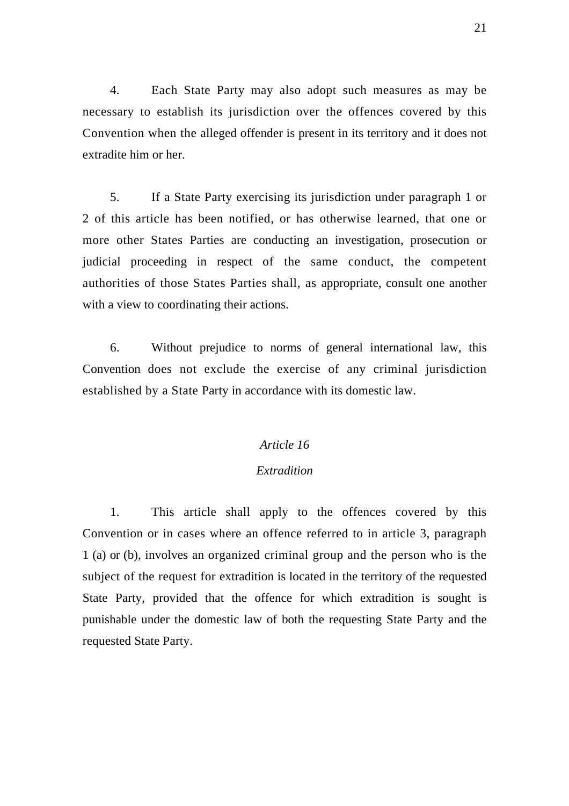4. Each State Party may also adopt such measures as may be necessary to establish its jurisdiction over the offences covered by this Convention when the alleged offender is present in its territory and it does not extradite him or her.

 5. If a State Party exercising its jurisdiction under paragraph 1 or 2 of this article has been notified, or has otherwise learned, that one or more other States Parties are conducting an investigation, prosecution or judicial proceeding in respect of the same conduct, the competent authorities of those States Parties shall, as appropriate, consult one another with a view to coordinating their actions.

 6. Without prejudice to norms of general international law, this Convention does not exclude the exercise of any criminal jurisdiction established by a State Party in accordance with its domestic law.

### *Article 16*

### *Extradition*

 1. This article shall apply to the offences covered by this Convention or in cases where an offence referred to in article 3, paragraph 1 (a) or (b), involves an organized criminal group and the person who is the subject of the request for extradition is located in the territory of the requested State Party, provided that the offence for which extradition is sought is punishable under the domestic law of both the requesting State Party and the requested State Party.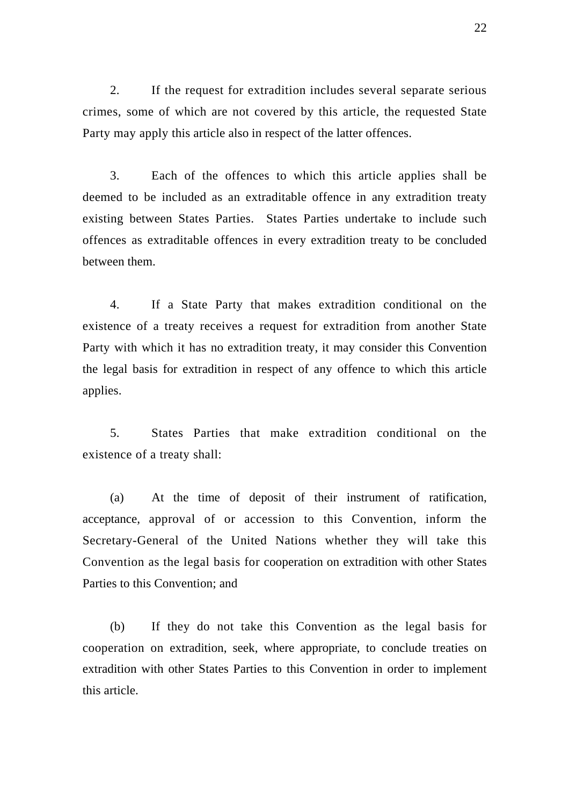2. If the request for extradition includes several separate serious crimes, some of which are not covered by this article, the requested State Party may apply this article also in respect of the latter offences.

 3. Each of the offences to which this article applies shall be deemed to be included as an extraditable offence in any extradition treaty existing between States Parties. States Parties undertake to include such offences as extraditable offences in every extradition treaty to be concluded between them.

 4. If a State Party that makes extradition conditional on the existence of a treaty receives a request for extradition from another State Party with which it has no extradition treaty, it may consider this Convention the legal basis for extradition in respect of any offence to which this article applies.

 5. States Parties that make extradition conditional on the existence of a treaty shall:

 (a) At the time of deposit of their instrument of ratification, acceptance, approval of or accession to this Convention, inform the Secretary-General of the United Nations whether they will take this Convention as the legal basis for cooperation on extradition with other States Parties to this Convention; and

 (b) If they do not take this Convention as the legal basis for cooperation on extradition, seek, where appropriate, to conclude treaties on extradition with other States Parties to this Convention in order to implement this article.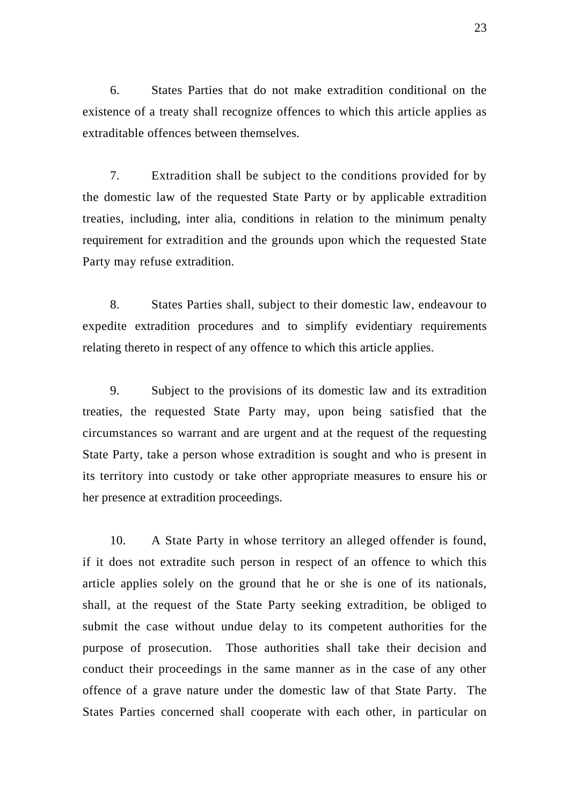6. States Parties that do not make extradition conditional on the existence of a treaty shall recognize offences to which this article applies as extraditable offences between themselves.

 7. Extradition shall be subject to the conditions provided for by the domestic law of the requested State Party or by applicable extradition treaties, including, inter alia, conditions in relation to the minimum penalty requirement for extradition and the grounds upon which the requested State Party may refuse extradition.

 8. States Parties shall, subject to their domestic law, endeavour to expedite extradition procedures and to simplify evidentiary requirements relating thereto in respect of any offence to which this article applies.

 9. Subject to the provisions of its domestic law and its extradition treaties, the requested State Party may, upon being satisfied that the circumstances so warrant and are urgent and at the request of the requesting State Party, take a person whose extradition is sought and who is present in its territory into custody or take other appropriate measures to ensure his or her presence at extradition proceedings.

 10. A State Party in whose territory an alleged offender is found, if it does not extradite such person in respect of an offence to which this article applies solely on the ground that he or she is one of its nationals, shall, at the request of the State Party seeking extradition, be obliged to submit the case without undue delay to its competent authorities for the purpose of prosecution. Those authorities shall take their decision and conduct their proceedings in the same manner as in the case of any other offence of a grave nature under the domestic law of that State Party. The States Parties concerned shall cooperate with each other, in particular on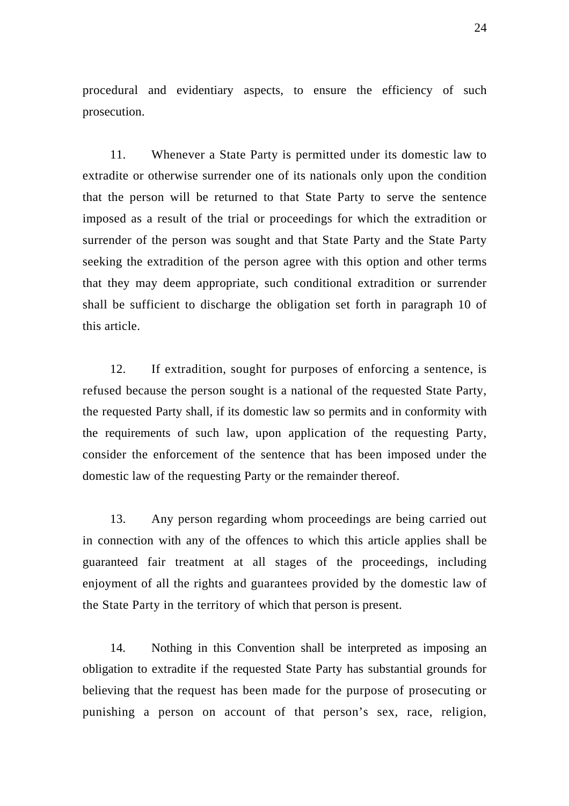procedural and evidentiary aspects, to ensure the efficiency of such prosecution.

 11. Whenever a State Party is permitted under its domestic law to extradite or otherwise surrender one of its nationals only upon the condition that the person will be returned to that State Party to serve the sentence imposed as a result of the trial or proceedings for which the extradition or surrender of the person was sought and that State Party and the State Party seeking the extradition of the person agree with this option and other terms that they may deem appropriate, such conditional extradition or surrender shall be sufficient to discharge the obligation set forth in paragraph 10 of this article.

 12. If extradition, sought for purposes of enforcing a sentence, is refused because the person sought is a national of the requested State Party, the requested Party shall, if its domestic law so permits and in conformity with the requirements of such law, upon application of the requesting Party, consider the enforcement of the sentence that has been imposed under the domestic law of the requesting Party or the remainder thereof.

 13. Any person regarding whom proceedings are being carried out in connection with any of the offences to which this article applies shall be guaranteed fair treatment at all stages of the proceedings, including enjoyment of all the rights and guarantees provided by the domestic law of the State Party in the territory of which that person is present.

 14. Nothing in this Convention shall be interpreted as imposing an obligation to extradite if the requested State Party has substantial grounds for believing that the request has been made for the purpose of prosecuting or punishing a person on account of that person's sex, race, religion,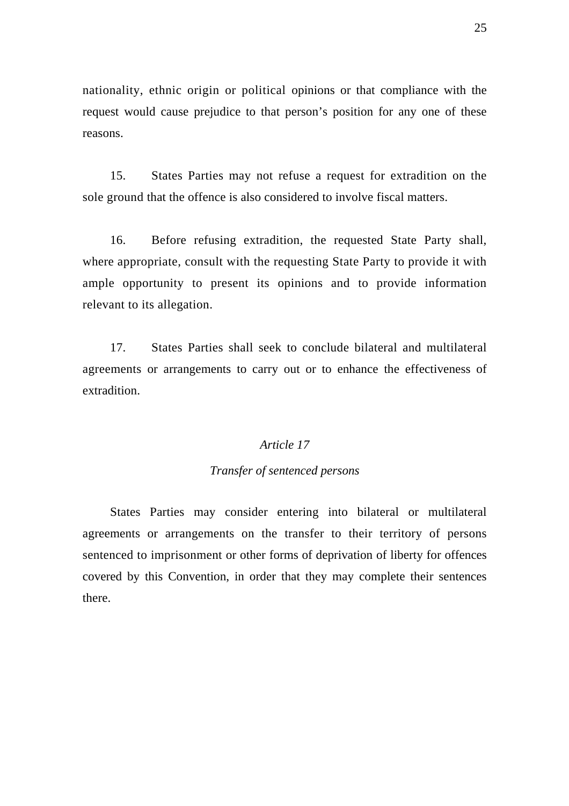nationality, ethnic origin or political opinions or that compliance with the request would cause prejudice to that person's position for any one of these reasons.

 15. States Parties may not refuse a request for extradition on the sole ground that the offence is also considered to involve fiscal matters.

 16. Before refusing extradition, the requested State Party shall, where appropriate, consult with the requesting State Party to provide it with ample opportunity to present its opinions and to provide information relevant to its allegation.

 17. States Parties shall seek to conclude bilateral and multilateral agreements or arrangements to carry out or to enhance the effectiveness of extradition.

#### *Article 17*

### *Transfer of sentenced persons*

 States Parties may consider entering into bilateral or multilateral agreements or arrangements on the transfer to their territory of persons sentenced to imprisonment or other forms of deprivation of liberty for offences covered by this Convention, in order that they may complete their sentences there.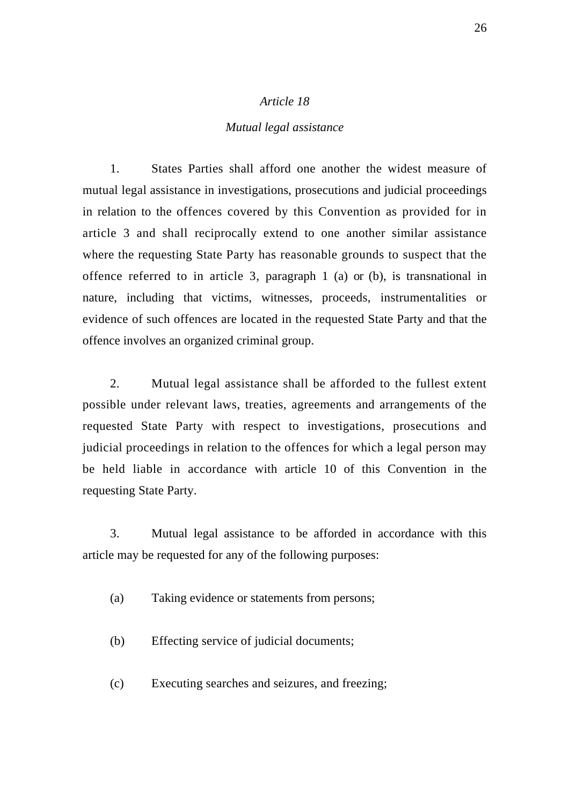#### *Mutual legal assistance*

 1. States Parties shall afford one another the widest measure of mutual legal assistance in investigations, prosecutions and judicial proceedings in relation to the offences covered by this Convention as provided for in article 3 and shall reciprocally extend to one another similar assistance where the requesting State Party has reasonable grounds to suspect that the offence referred to in article 3, paragraph 1 (a) or (b), is transnational in nature, including that victims, witnesses, proceeds, instrumentalities or evidence of such offences are located in the requested State Party and that the offence involves an organized criminal group.

 2. Mutual legal assistance shall be afforded to the fullest extent possible under relevant laws, treaties, agreements and arrangements of the requested State Party with respect to investigations, prosecutions and judicial proceedings in relation to the offences for which a legal person may be held liable in accordance with article 10 of this Convention in the requesting State Party.

 3. Mutual legal assistance to be afforded in accordance with this article may be requested for any of the following purposes:

(a) Taking evidence or statements from persons;

(b) Effecting service of judicial documents;

(c) Executing searches and seizures, and freezing;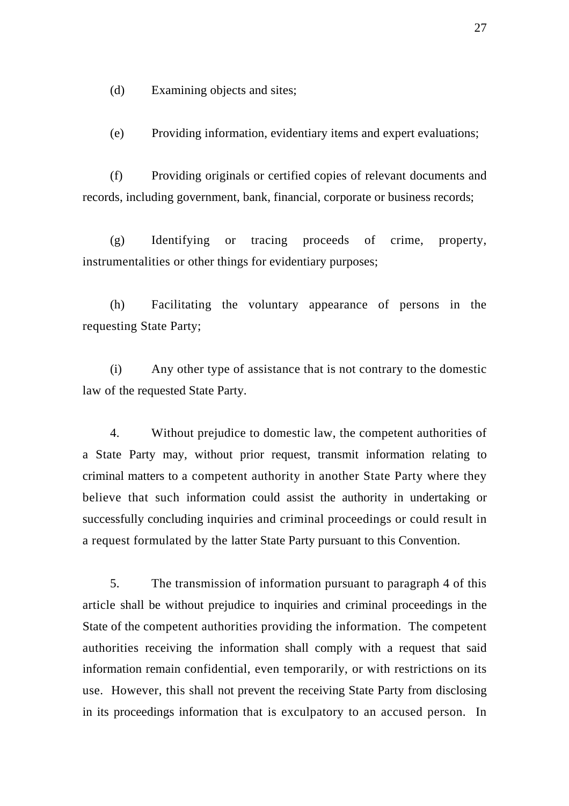(d) Examining objects and sites;

(e) Providing information, evidentiary items and expert evaluations;

 (f) Providing originals or certified copies of relevant documents and records, including government, bank, financial, corporate or business records;

 (g) Identifying or tracing proceeds of crime, property, instrumentalities or other things for evidentiary purposes;

 (h) Facilitating the voluntary appearance of persons in the requesting State Party;

 (i) Any other type of assistance that is not contrary to the domestic law of the requested State Party.

 4. Without prejudice to domestic law, the competent authorities of a State Party may, without prior request, transmit information relating to criminal matters to a competent authority in another State Party where they believe that such information could assist the authority in undertaking or successfully concluding inquiries and criminal proceedings or could result in a request formulated by the latter State Party pursuant to this Convention.

 5. The transmission of information pursuant to paragraph 4 of this article shall be without prejudice to inquiries and criminal proceedings in the State of the competent authorities providing the information. The competent authorities receiving the information shall comply with a request that said information remain confidential, even temporarily, or with restrictions on its use. However, this shall not prevent the receiving State Party from disclosing in its proceedings information that is exculpatory to an accused person. In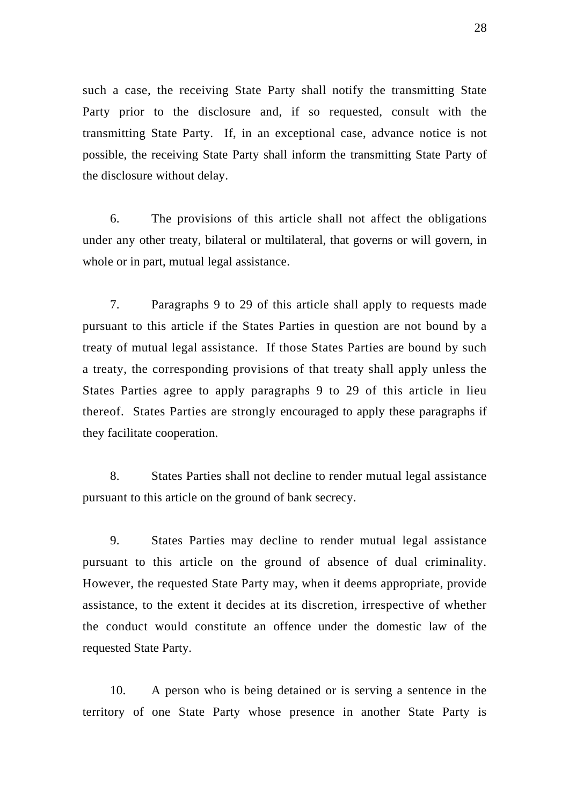such a case, the receiving State Party shall notify the transmitting State Party prior to the disclosure and, if so requested, consult with the transmitting State Party. If, in an exceptional case, advance notice is not possible, the receiving State Party shall inform the transmitting State Party of the disclosure without delay.

 6. The provisions of this article shall not affect the obligations under any other treaty, bilateral or multilateral, that governs or will govern, in whole or in part, mutual legal assistance.

 7. Paragraphs 9 to 29 of this article shall apply to requests made pursuant to this article if the States Parties in question are not bound by a treaty of mutual legal assistance. If those States Parties are bound by such a treaty, the corresponding provisions of that treaty shall apply unless the States Parties agree to apply paragraphs 9 to 29 of this article in lieu thereof. States Parties are strongly encouraged to apply these paragraphs if they facilitate cooperation.

 8. States Parties shall not decline to render mutual legal assistance pursuant to this article on the ground of bank secrecy.

 9. States Parties may decline to render mutual legal assistance pursuant to this article on the ground of absence of dual criminality. However, the requested State Party may, when it deems appropriate, provide assistance, to the extent it decides at its discretion, irrespective of whether the conduct would constitute an offence under the domestic law of the requested State Party.

 10. A person who is being detained or is serving a sentence in the territory of one State Party whose presence in another State Party is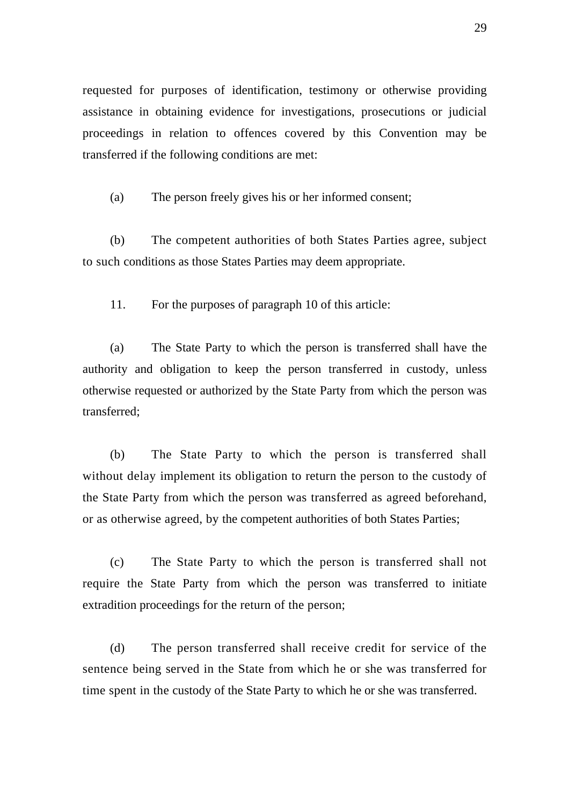requested for purposes of identification, testimony or otherwise providing assistance in obtaining evidence for investigations, prosecutions or judicial proceedings in relation to offences covered by this Convention may be transferred if the following conditions are met:

(a) The person freely gives his or her informed consent;

 (b) The competent authorities of both States Parties agree, subject to such conditions as those States Parties may deem appropriate.

11. For the purposes of paragraph 10 of this article:

 (a) The State Party to which the person is transferred shall have the authority and obligation to keep the person transferred in custody, unless otherwise requested or authorized by the State Party from which the person was transferred;

 (b) The State Party to which the person is transferred shall without delay implement its obligation to return the person to the custody of the State Party from which the person was transferred as agreed beforehand, or as otherwise agreed, by the competent authorities of both States Parties;

 (c) The State Party to which the person is transferred shall not require the State Party from which the person was transferred to initiate extradition proceedings for the return of the person;

 (d) The person transferred shall receive credit for service of the sentence being served in the State from which he or she was transferred for time spent in the custody of the State Party to which he or she was transferred.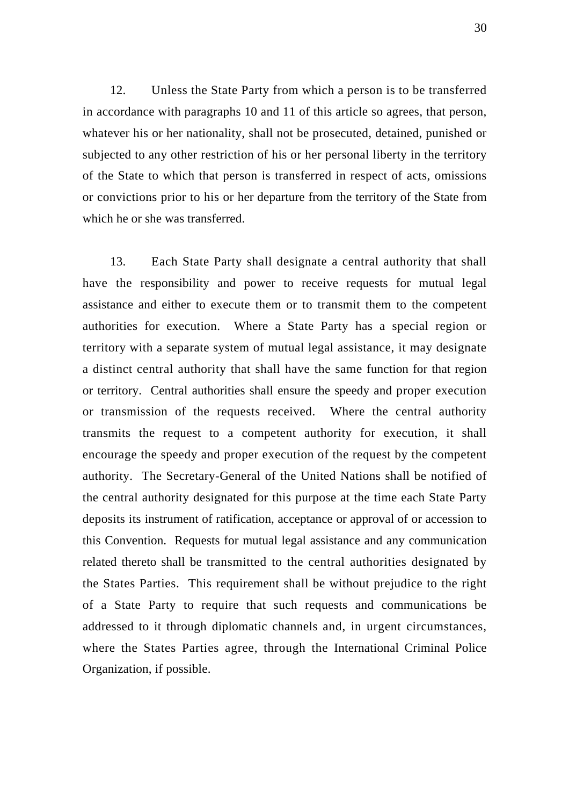12. Unless the State Party from which a person is to be transferred in accordance with paragraphs 10 and 11 of this article so agrees, that person, whatever his or her nationality, shall not be prosecuted, detained, punished or subjected to any other restriction of his or her personal liberty in the territory of the State to which that person is transferred in respect of acts, omissions or convictions prior to his or her departure from the territory of the State from which he or she was transferred.

 13. Each State Party shall designate a central authority that shall have the responsibility and power to receive requests for mutual legal assistance and either to execute them or to transmit them to the competent authorities for execution. Where a State Party has a special region or territory with a separate system of mutual legal assistance, it may designate a distinct central authority that shall have the same function for that region or territory. Central authorities shall ensure the speedy and proper execution or transmission of the requests received. Where the central authority transmits the request to a competent authority for execution, it shall encourage the speedy and proper execution of the request by the competent authority. The Secretary-General of the United Nations shall be notified of the central authority designated for this purpose at the time each State Party deposits its instrument of ratification, acceptance or approval of or accession to this Convention. Requests for mutual legal assistance and any communication related thereto shall be transmitted to the central authorities designated by the States Parties. This requirement shall be without prejudice to the right of a State Party to require that such requests and communications be addressed to it through diplomatic channels and, in urgent circumstances, where the States Parties agree, through the International Criminal Police Organization, if possible.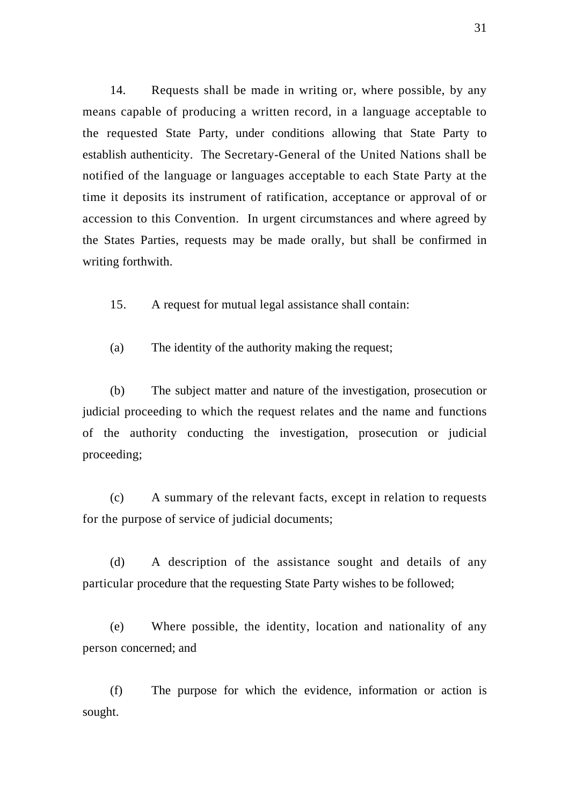14. Requests shall be made in writing or, where possible, by any means capable of producing a written record, in a language acceptable to the requested State Party, under conditions allowing that State Party to establish authenticity. The Secretary-General of the United Nations shall be notified of the language or languages acceptable to each State Party at the time it deposits its instrument of ratification, acceptance or approval of or accession to this Convention. In urgent circumstances and where agreed by the States Parties, requests may be made orally, but shall be confirmed in writing forthwith.

15. A request for mutual legal assistance shall contain:

(a) The identity of the authority making the request;

 (b) The subject matter and nature of the investigation, prosecution or judicial proceeding to which the request relates and the name and functions of the authority conducting the investigation, prosecution or judicial proceeding;

 (c) A summary of the relevant facts, except in relation to requests for the purpose of service of judicial documents;

 (d) A description of the assistance sought and details of any particular procedure that the requesting State Party wishes to be followed;

 (e) Where possible, the identity, location and nationality of any person concerned; and

 (f) The purpose for which the evidence, information or action is sought.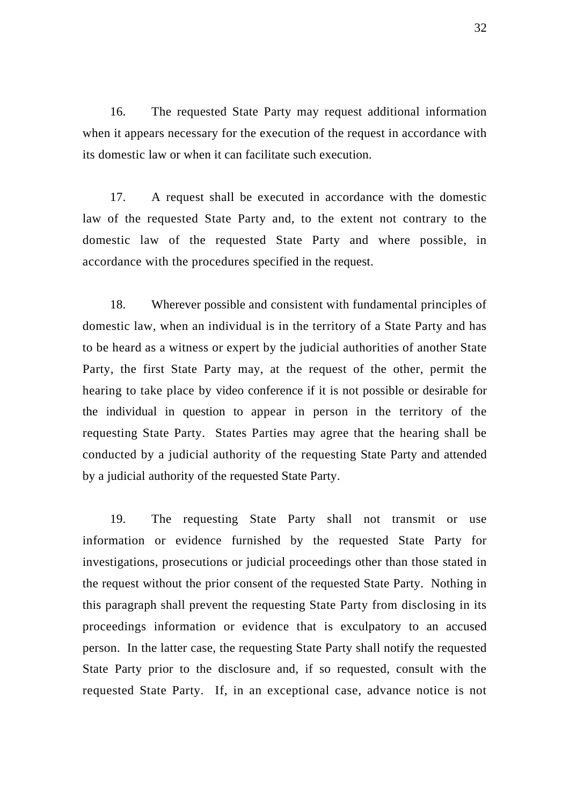16. The requested State Party may request additional information when it appears necessary for the execution of the request in accordance with its domestic law or when it can facilitate such execution.

 17. A request shall be executed in accordance with the domestic law of the requested State Party and, to the extent not contrary to the domestic law of the requested State Party and where possible, in accordance with the procedures specified in the request.

 18. Wherever possible and consistent with fundamental principles of domestic law, when an individual is in the territory of a State Party and has to be heard as a witness or expert by the judicial authorities of another State Party, the first State Party may, at the request of the other, permit the hearing to take place by video conference if it is not possible or desirable for the individual in question to appear in person in the territory of the requesting State Party. States Parties may agree that the hearing shall be conducted by a judicial authority of the requesting State Party and attended by a judicial authority of the requested State Party.

 19. The requesting State Party shall not transmit or use information or evidence furnished by the requested State Party for investigations, prosecutions or judicial proceedings other than those stated in the request without the prior consent of the requested State Party. Nothing in this paragraph shall prevent the requesting State Party from disclosing in its proceedings information or evidence that is exculpatory to an accused person. In the latter case, the requesting State Party shall notify the requested State Party prior to the disclosure and, if so requested, consult with the requested State Party. If, in an exceptional case, advance notice is not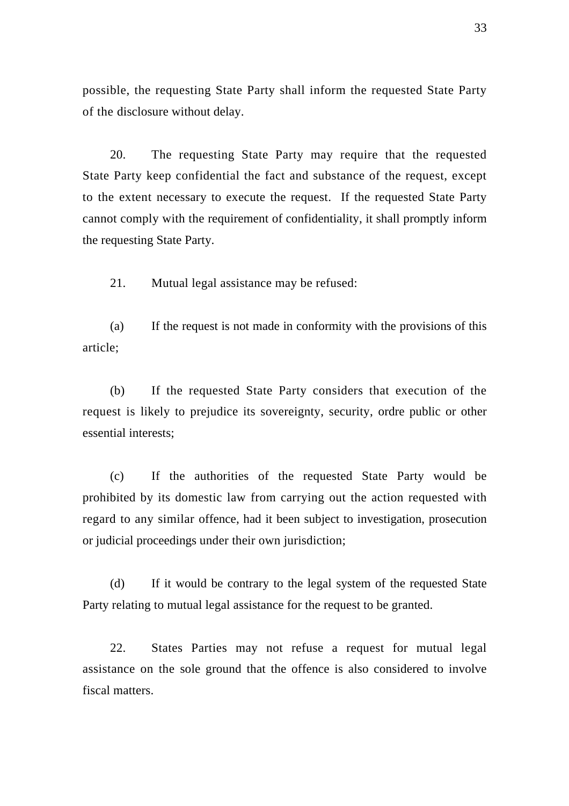possible, the requesting State Party shall inform the requested State Party of the disclosure without delay.

 20. The requesting State Party may require that the requested State Party keep confidential the fact and substance of the request, except to the extent necessary to execute the request. If the requested State Party cannot comply with the requirement of confidentiality, it shall promptly inform the requesting State Party.

21. Mutual legal assistance may be refused:

 (a) If the request is not made in conformity with the provisions of this article;

 (b) If the requested State Party considers that execution of the request is likely to prejudice its sovereignty, security, ordre public or other essential interests;

 (c) If the authorities of the requested State Party would be prohibited by its domestic law from carrying out the action requested with regard to any similar offence, had it been subject to investigation, prosecution or judicial proceedings under their own jurisdiction;

 (d) If it would be contrary to the legal system of the requested State Party relating to mutual legal assistance for the request to be granted.

 22. States Parties may not refuse a request for mutual legal assistance on the sole ground that the offence is also considered to involve fiscal matters.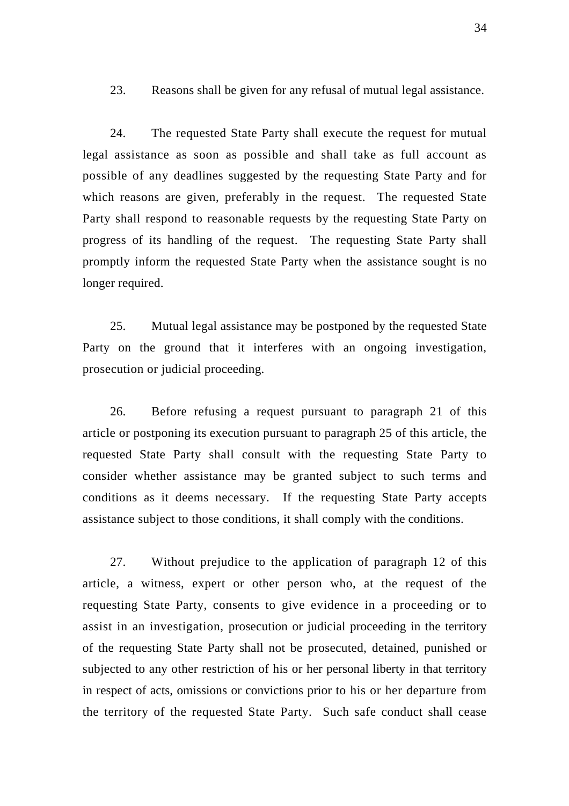23. Reasons shall be given for any refusal of mutual legal assistance.

 24. The requested State Party shall execute the request for mutual legal assistance as soon as possible and shall take as full account as possible of any deadlines suggested by the requesting State Party and for which reasons are given, preferably in the request. The requested State Party shall respond to reasonable requests by the requesting State Party on progress of its handling of the request. The requesting State Party shall promptly inform the requested State Party when the assistance sought is no longer required.

 25. Mutual legal assistance may be postponed by the requested State Party on the ground that it interferes with an ongoing investigation, prosecution or judicial proceeding.

 26. Before refusing a request pursuant to paragraph 21 of this article or postponing its execution pursuant to paragraph 25 of this article, the requested State Party shall consult with the requesting State Party to consider whether assistance may be granted subject to such terms and conditions as it deems necessary. If the requesting State Party accepts assistance subject to those conditions, it shall comply with the conditions.

 27. Without prejudice to the application of paragraph 12 of this article, a witness, expert or other person who, at the request of the requesting State Party, consents to give evidence in a proceeding or to assist in an investigation, prosecution or judicial proceeding in the territory of the requesting State Party shall not be prosecuted, detained, punished or subjected to any other restriction of his or her personal liberty in that territory in respect of acts, omissions or convictions prior to his or her departure from the territory of the requested State Party. Such safe conduct shall cease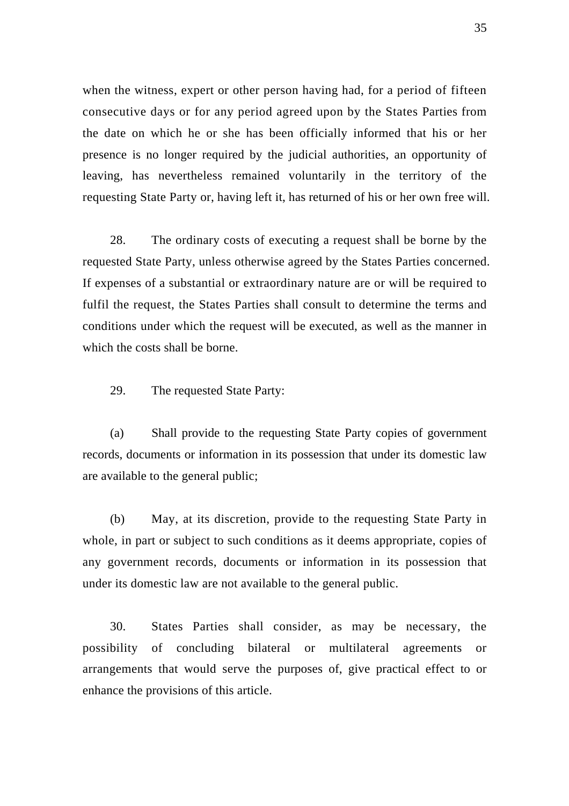when the witness, expert or other person having had, for a period of fifteen consecutive days or for any period agreed upon by the States Parties from the date on which he or she has been officially informed that his or her presence is no longer required by the judicial authorities, an opportunity of leaving, has nevertheless remained voluntarily in the territory of the requesting State Party or, having left it, has returned of his or her own free will.

 28. The ordinary costs of executing a request shall be borne by the requested State Party, unless otherwise agreed by the States Parties concerned. If expenses of a substantial or extraordinary nature are or will be required to fulfil the request, the States Parties shall consult to determine the terms and conditions under which the request will be executed, as well as the manner in which the costs shall be borne.

29. The requested State Party:

 (a) Shall provide to the requesting State Party copies of government records, documents or information in its possession that under its domestic law are available to the general public;

 (b) May, at its discretion, provide to the requesting State Party in whole, in part or subject to such conditions as it deems appropriate, copies of any government records, documents or information in its possession that under its domestic law are not available to the general public.

 30. States Parties shall consider, as may be necessary, the possibility of concluding bilateral or multilateral agreements or arrangements that would serve the purposes of, give practical effect to or enhance the provisions of this article.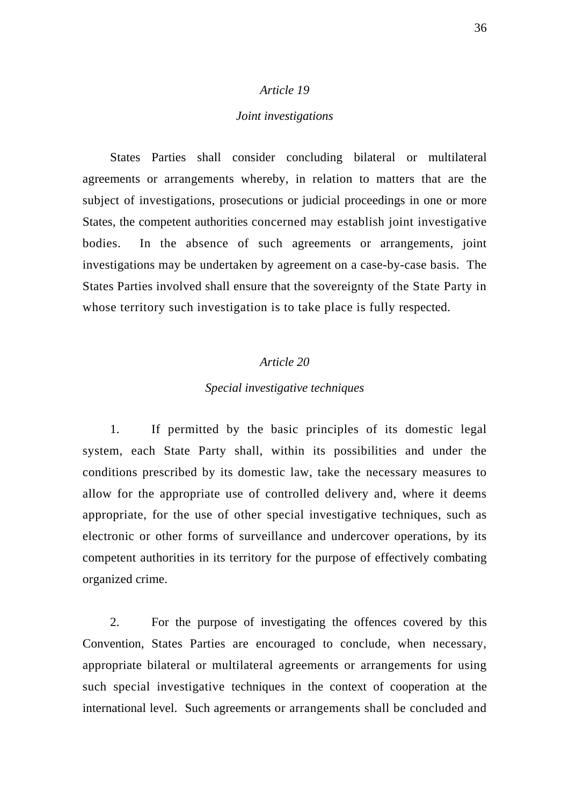#### *Joint investigations*

 States Parties shall consider concluding bilateral or multilateral agreements or arrangements whereby, in relation to matters that are the subject of investigations, prosecutions or judicial proceedings in one or more States, the competent authorities concerned may establish joint investigative bodies. In the absence of such agreements or arrangements, joint investigations may be undertaken by agreement on a case-by-case basis. The States Parties involved shall ensure that the sovereignty of the State Party in whose territory such investigation is to take place is fully respected.

## *Article 20*

### *Special investigative techniques*

 1. If permitted by the basic principles of its domestic legal system, each State Party shall, within its possibilities and under the conditions prescribed by its domestic law, take the necessary measures to allow for the appropriate use of controlled delivery and, where it deems appropriate, for the use of other special investigative techniques, such as electronic or other forms of surveillance and undercover operations, by its competent authorities in its territory for the purpose of effectively combating organized crime.

 2. For the purpose of investigating the offences covered by this Convention, States Parties are encouraged to conclude, when necessary, appropriate bilateral or multilateral agreements or arrangements for using such special investigative techniques in the context of cooperation at the international level. Such agreements or arrangements shall be concluded and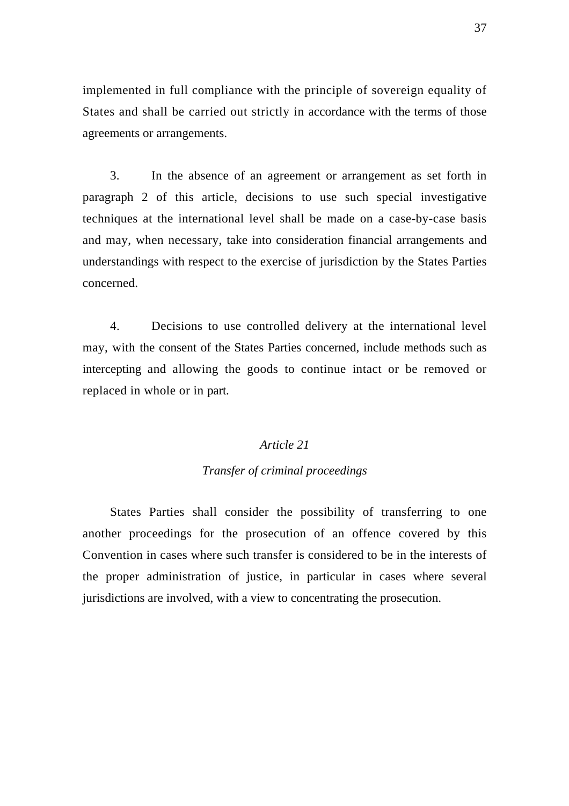implemented in full compliance with the principle of sovereign equality of States and shall be carried out strictly in accordance with the terms of those agreements or arrangements.

 3. In the absence of an agreement or arrangement as set forth in paragraph 2 of this article, decisions to use such special investigative techniques at the international level shall be made on a case-by-case basis and may, when necessary, take into consideration financial arrangements and understandings with respect to the exercise of jurisdiction by the States Parties concerned.

 4. Decisions to use controlled delivery at the international level may, with the consent of the States Parties concerned, include methods such as intercepting and allowing the goods to continue intact or be removed or replaced in whole or in part.

### *Article 21*

### *Transfer of criminal proceedings*

 States Parties shall consider the possibility of transferring to one another proceedings for the prosecution of an offence covered by this Convention in cases where such transfer is considered to be in the interests of the proper administration of justice, in particular in cases where several jurisdictions are involved, with a view to concentrating the prosecution.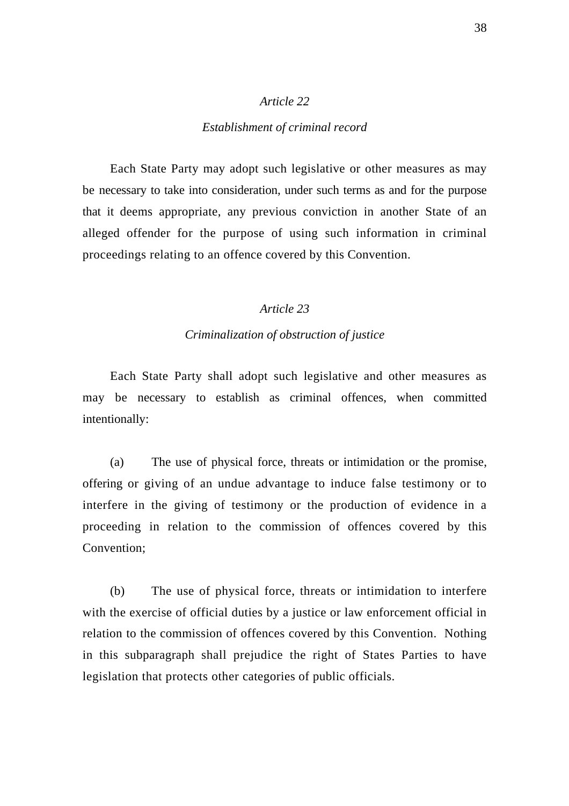#### *Establishment of criminal record*

 Each State Party may adopt such legislative or other measures as may be necessary to take into consideration, under such terms as and for the purpose that it deems appropriate, any previous conviction in another State of an alleged offender for the purpose of using such information in criminal proceedings relating to an offence covered by this Convention.

## *Article 23*

## *Criminalization of obstruction of justice*

 Each State Party shall adopt such legislative and other measures as may be necessary to establish as criminal offences, when committed intentionally:

 (a) The use of physical force, threats or intimidation or the promise, offering or giving of an undue advantage to induce false testimony or to interfere in the giving of testimony or the production of evidence in a proceeding in relation to the commission of offences covered by this Convention;

 (b) The use of physical force, threats or intimidation to interfere with the exercise of official duties by a justice or law enforcement official in relation to the commission of offences covered by this Convention. Nothing in this subparagraph shall prejudice the right of States Parties to have legislation that protects other categories of public officials.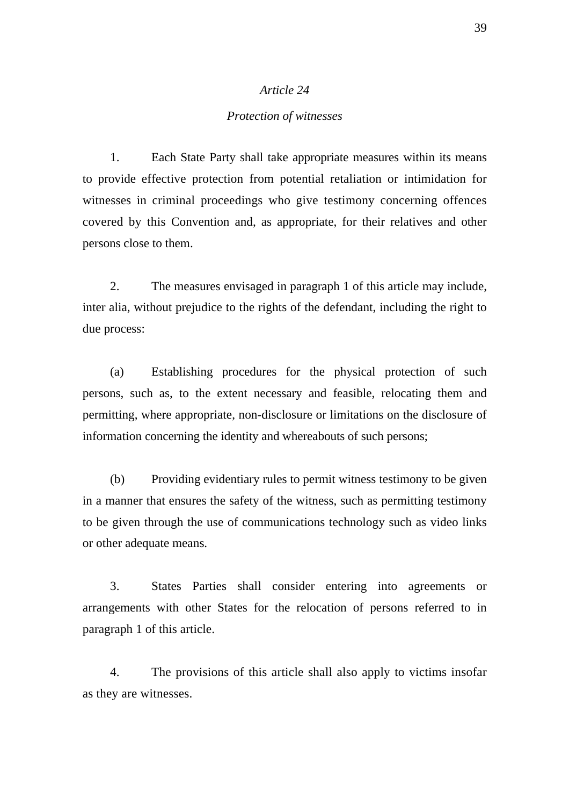### *Protection of witnesses*

 1. Each State Party shall take appropriate measures within its means to provide effective protection from potential retaliation or intimidation for witnesses in criminal proceedings who give testimony concerning offences covered by this Convention and, as appropriate, for their relatives and other persons close to them.

 2. The measures envisaged in paragraph 1 of this article may include, inter alia, without prejudice to the rights of the defendant, including the right to due process:

 (a) Establishing procedures for the physical protection of such persons, such as, to the extent necessary and feasible, relocating them and permitting, where appropriate, non-disclosure or limitations on the disclosure of information concerning the identity and whereabouts of such persons;

 (b) Providing evidentiary rules to permit witness testimony to be given in a manner that ensures the safety of the witness, such as permitting testimony to be given through the use of communications technology such as video links or other adequate means.

 3. States Parties shall consider entering into agreements or arrangements with other States for the relocation of persons referred to in paragraph 1 of this article.

 4. The provisions of this article shall also apply to victims insofar as they are witnesses.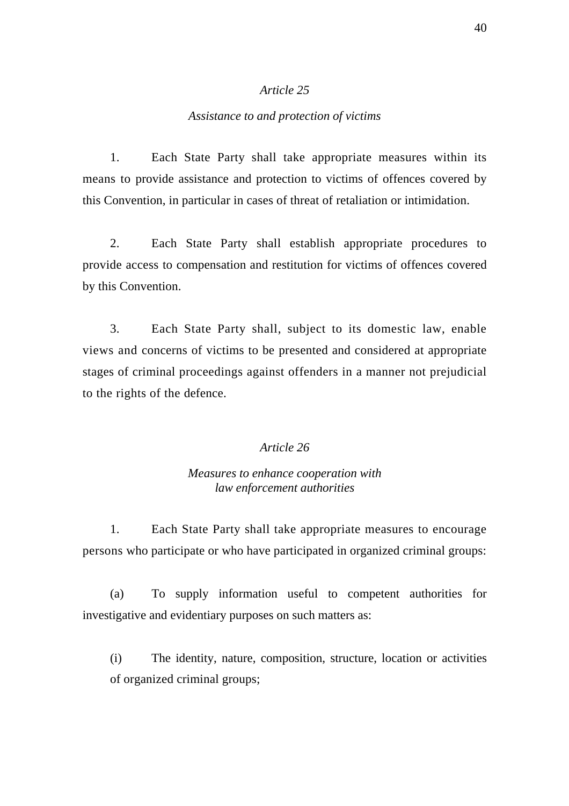### *Assistance to and protection of victims*

 1. Each State Party shall take appropriate measures within its means to provide assistance and protection to victims of offences covered by this Convention, in particular in cases of threat of retaliation or intimidation.

 2. Each State Party shall establish appropriate procedures to provide access to compensation and restitution for victims of offences covered by this Convention.

 3. Each State Party shall, subject to its domestic law, enable views and concerns of victims to be presented and considered at appropriate stages of criminal proceedings against offenders in a manner not prejudicial to the rights of the defence.

# *Article 26*

### *Measures to enhance cooperation with law enforcement authorities*

 1. Each State Party shall take appropriate measures to encourage persons who participate or who have participated in organized criminal groups:

 (a) To supply information useful to competent authorities for investigative and evidentiary purposes on such matters as:

(i) The identity, nature, composition, structure, location or activities of organized criminal groups;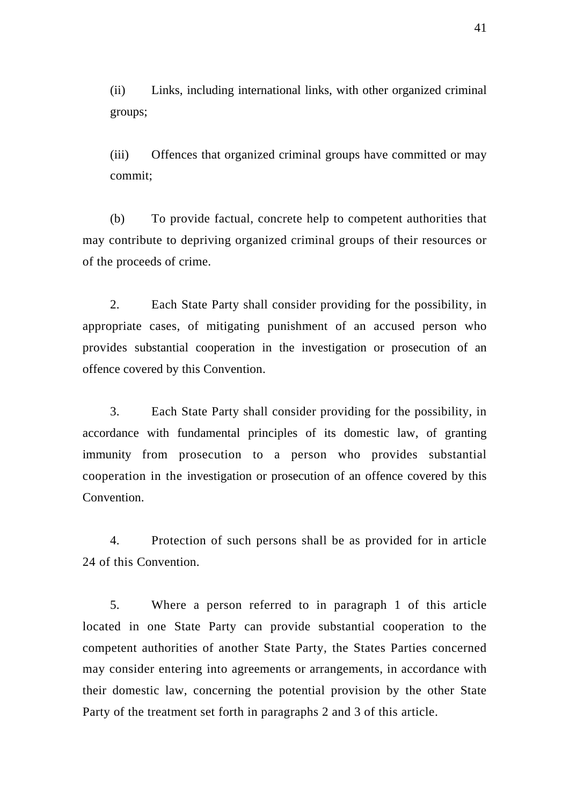(ii) Links, including international links, with other organized criminal groups;

(iii) Offences that organized criminal groups have committed or may commit;

 (b) To provide factual, concrete help to competent authorities that may contribute to depriving organized criminal groups of their resources or of the proceeds of crime.

 2. Each State Party shall consider providing for the possibility, in appropriate cases, of mitigating punishment of an accused person who provides substantial cooperation in the investigation or prosecution of an offence covered by this Convention.

 3. Each State Party shall consider providing for the possibility, in accordance with fundamental principles of its domestic law, of granting immunity from prosecution to a person who provides substantial cooperation in the investigation or prosecution of an offence covered by this Convention.

 4. Protection of such persons shall be as provided for in article 24 of this Convention.

 5. Where a person referred to in paragraph 1 of this article located in one State Party can provide substantial cooperation to the competent authorities of another State Party, the States Parties concerned may consider entering into agreements or arrangements, in accordance with their domestic law, concerning the potential provision by the other State Party of the treatment set forth in paragraphs 2 and 3 of this article.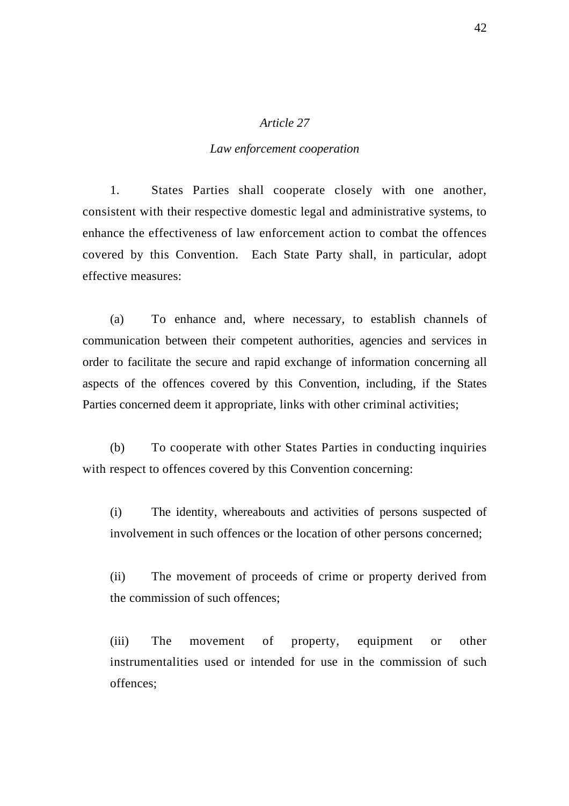### *Law enforcement cooperation*

 1. States Parties shall cooperate closely with one another, consistent with their respective domestic legal and administrative systems, to enhance the effectiveness of law enforcement action to combat the offences covered by this Convention. Each State Party shall, in particular, adopt effective measures:

 (a) To enhance and, where necessary, to establish channels of communication between their competent authorities, agencies and services in order to facilitate the secure and rapid exchange of information concerning all aspects of the offences covered by this Convention, including, if the States Parties concerned deem it appropriate, links with other criminal activities;

 (b) To cooperate with other States Parties in conducting inquiries with respect to offences covered by this Convention concerning:

(i) The identity, whereabouts and activities of persons suspected of involvement in such offences or the location of other persons concerned;

(ii) The movement of proceeds of crime or property derived from the commission of such offences;

(iii) The movement of property, equipment or other instrumentalities used or intended for use in the commission of such offences;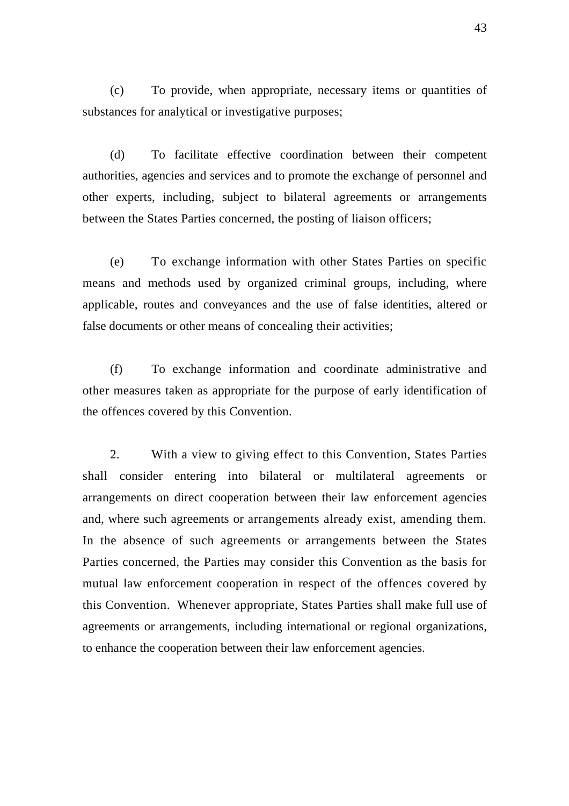(c) To provide, when appropriate, necessary items or quantities of substances for analytical or investigative purposes;

 (d) To facilitate effective coordination between their competent authorities, agencies and services and to promote the exchange of personnel and other experts, including, subject to bilateral agreements or arrangements between the States Parties concerned, the posting of liaison officers;

 (e) To exchange information with other States Parties on specific means and methods used by organized criminal groups, including, where applicable, routes and conveyances and the use of false identities, altered or false documents or other means of concealing their activities;

 (f) To exchange information and coordinate administrative and other measures taken as appropriate for the purpose of early identification of the offences covered by this Convention.

 2. With a view to giving effect to this Convention, States Parties shall consider entering into bilateral or multilateral agreements or arrangements on direct cooperation between their law enforcement agencies and, where such agreements or arrangements already exist, amending them. In the absence of such agreements or arrangements between the States Parties concerned, the Parties may consider this Convention as the basis for mutual law enforcement cooperation in respect of the offences covered by this Convention. Whenever appropriate, States Parties shall make full use of agreements or arrangements, including international or regional organizations, to enhance the cooperation between their law enforcement agencies.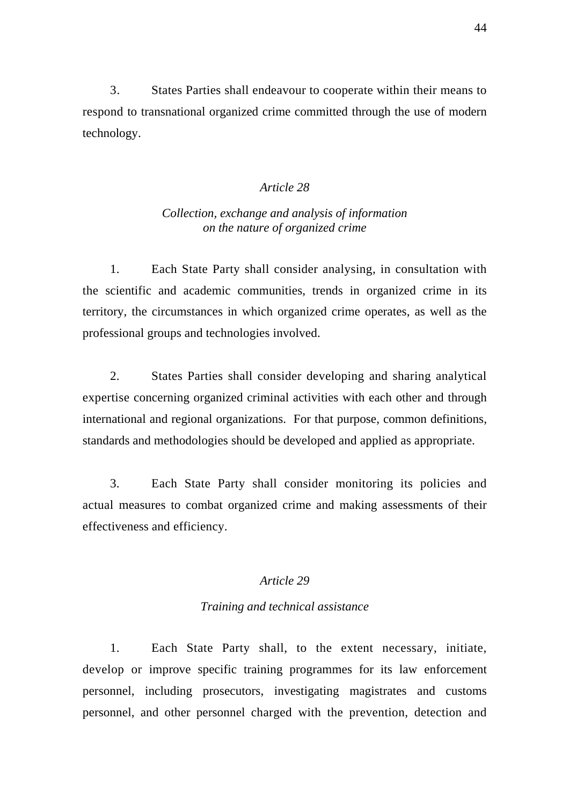3. States Parties shall endeavour to cooperate within their means to respond to transnational organized crime committed through the use of modern technology.

# *Article 28*

# *Collection, exchange and analysis of information on the nature of organized crime*

 1. Each State Party shall consider analysing, in consultation with the scientific and academic communities, trends in organized crime in its territory, the circumstances in which organized crime operates, as well as the professional groups and technologies involved.

 2. States Parties shall consider developing and sharing analytical expertise concerning organized criminal activities with each other and through international and regional organizations. For that purpose, common definitions, standards and methodologies should be developed and applied as appropriate.

 3. Each State Party shall consider monitoring its policies and actual measures to combat organized crime and making assessments of their effectiveness and efficiency.

# *Article 29*

### *Training and technical assistance*

 1. Each State Party shall, to the extent necessary, initiate, develop or improve specific training programmes for its law enforcement personnel, including prosecutors, investigating magistrates and customs personnel, and other personnel charged with the prevention, detection and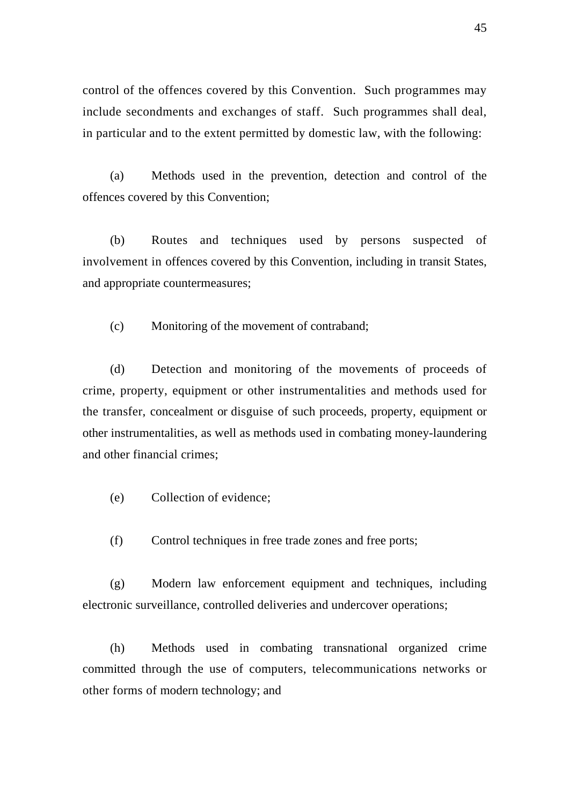control of the offences covered by this Convention. Such programmes may include secondments and exchanges of staff. Such programmes shall deal, in particular and to the extent permitted by domestic law, with the following:

 (a) Methods used in the prevention, detection and control of the offences covered by this Convention;

 (b) Routes and techniques used by persons suspected of involvement in offences covered by this Convention, including in transit States, and appropriate countermeasures;

(c) Monitoring of the movement of contraband;

 (d) Detection and monitoring of the movements of proceeds of crime, property, equipment or other instrumentalities and methods used for the transfer, concealment or disguise of such proceeds, property, equipment or other instrumentalities, as well as methods used in combating money-laundering and other financial crimes;

(e) Collection of evidence;

(f) Control techniques in free trade zones and free ports;

 (g) Modern law enforcement equipment and techniques, including electronic surveillance, controlled deliveries and undercover operations;

 (h) Methods used in combating transnational organized crime committed through the use of computers, telecommunications networks or other forms of modern technology; and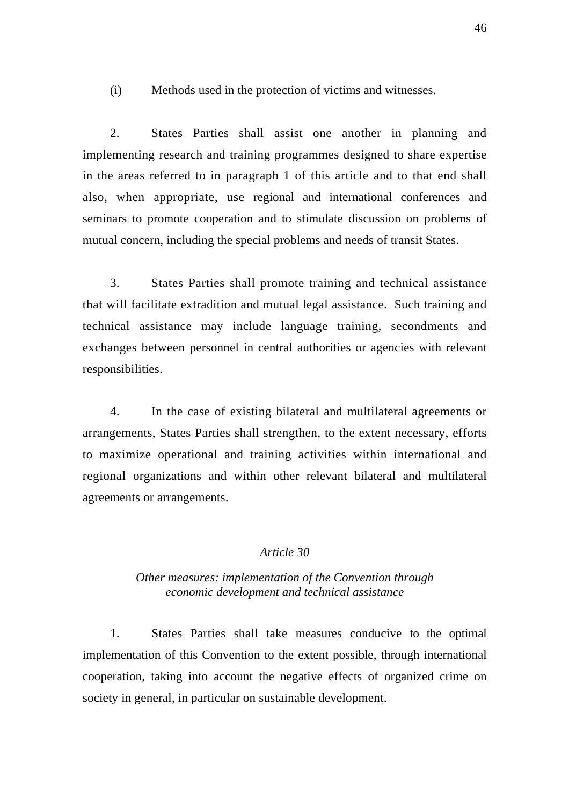(i) Methods used in the protection of victims and witnesses.

 2. States Parties shall assist one another in planning and implementing research and training programmes designed to share expertise in the areas referred to in paragraph 1 of this article and to that end shall also, when appropriate, use regional and international conferences and seminars to promote cooperation and to stimulate discussion on problems of mutual concern, including the special problems and needs of transit States.

 3. States Parties shall promote training and technical assistance that will facilitate extradition and mutual legal assistance. Such training and technical assistance may include language training, secondments and exchanges between personnel in central authorities or agencies with relevant responsibilities.

 4. In the case of existing bilateral and multilateral agreements or arrangements, States Parties shall strengthen, to the extent necessary, efforts to maximize operational and training activities within international and regional organizations and within other relevant bilateral and multilateral agreements or arrangements.

# *Article 30*

### *Other measures: implementation of the Convention through economic development and technical assistance*

 1. States Parties shall take measures conducive to the optimal implementation of this Convention to the extent possible, through international cooperation, taking into account the negative effects of organized crime on society in general, in particular on sustainable development.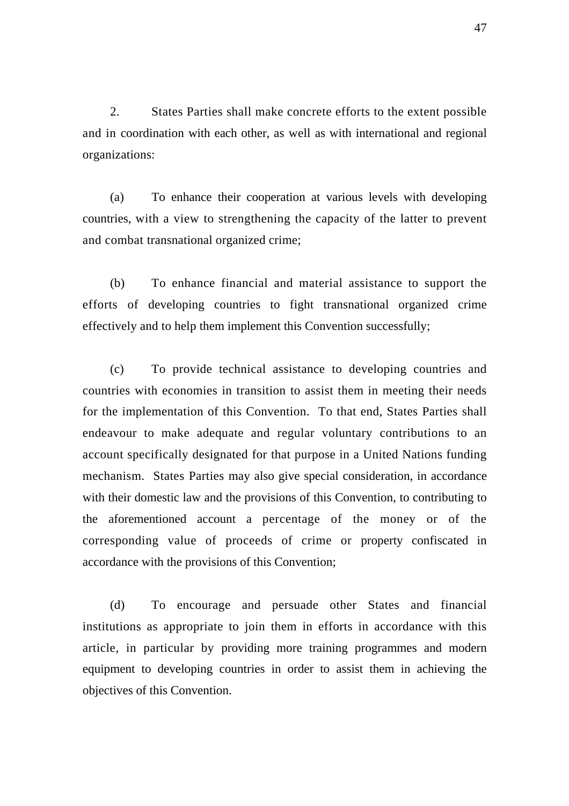2. States Parties shall make concrete efforts to the extent possible and in coordination with each other, as well as with international and regional organizations:

 (a) To enhance their cooperation at various levels with developing countries, with a view to strengthening the capacity of the latter to prevent and combat transnational organized crime;

 (b) To enhance financial and material assistance to support the efforts of developing countries to fight transnational organized crime effectively and to help them implement this Convention successfully;

 (c) To provide technical assistance to developing countries and countries with economies in transition to assist them in meeting their needs for the implementation of this Convention. To that end, States Parties shall endeavour to make adequate and regular voluntary contributions to an account specifically designated for that purpose in a United Nations funding mechanism. States Parties may also give special consideration, in accordance with their domestic law and the provisions of this Convention, to contributing to the aforementioned account a percentage of the money or of the corresponding value of proceeds of crime or property confiscated in accordance with the provisions of this Convention;

 (d) To encourage and persuade other States and financial institutions as appropriate to join them in efforts in accordance with this article, in particular by providing more training programmes and modern equipment to developing countries in order to assist them in achieving the objectives of this Convention.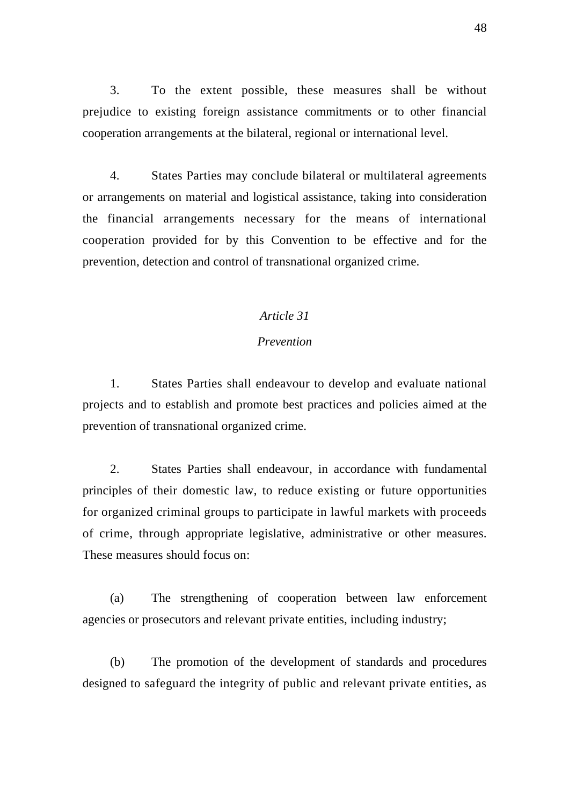3. To the extent possible, these measures shall be without prejudice to existing foreign assistance commitments or to other financial cooperation arrangements at the bilateral, regional or international level.

 4. States Parties may conclude bilateral or multilateral agreements or arrangements on material and logistical assistance, taking into consideration the financial arrangements necessary for the means of international cooperation provided for by this Convention to be effective and for the prevention, detection and control of transnational organized crime.

### *Article 31*

### *Prevention*

 1. States Parties shall endeavour to develop and evaluate national projects and to establish and promote best practices and policies aimed at the prevention of transnational organized crime.

 2. States Parties shall endeavour, in accordance with fundamental principles of their domestic law, to reduce existing or future opportunities for organized criminal groups to participate in lawful markets with proceeds of crime, through appropriate legislative, administrative or other measures. These measures should focus on:

 (a) The strengthening of cooperation between law enforcement agencies or prosecutors and relevant private entities, including industry;

 (b) The promotion of the development of standards and procedures designed to safeguard the integrity of public and relevant private entities, as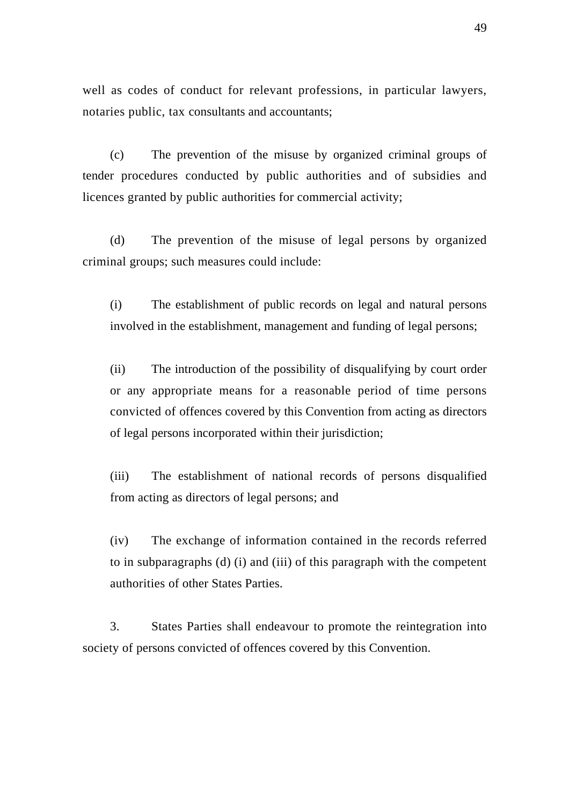well as codes of conduct for relevant professions, in particular lawyers, notaries public, tax consultants and accountants;

 (c) The prevention of the misuse by organized criminal groups of tender procedures conducted by public authorities and of subsidies and licences granted by public authorities for commercial activity;

 (d) The prevention of the misuse of legal persons by organized criminal groups; such measures could include:

(i) The establishment of public records on legal and natural persons involved in the establishment, management and funding of legal persons;

(ii) The introduction of the possibility of disqualifying by court order or any appropriate means for a reasonable period of time persons convicted of offences covered by this Convention from acting as directors of legal persons incorporated within their jurisdiction;

(iii) The establishment of national records of persons disqualified from acting as directors of legal persons; and

(iv) The exchange of information contained in the records referred to in subparagraphs (d) (i) and (iii) of this paragraph with the competent authorities of other States Parties.

 3. States Parties shall endeavour to promote the reintegration into society of persons convicted of offences covered by this Convention.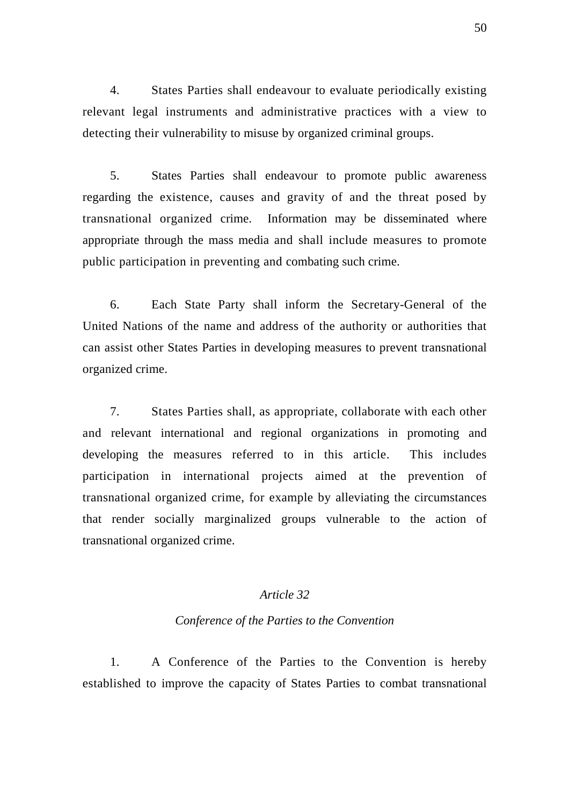4. States Parties shall endeavour to evaluate periodically existing relevant legal instruments and administrative practices with a view to detecting their vulnerability to misuse by organized criminal groups.

 5. States Parties shall endeavour to promote public awareness regarding the existence, causes and gravity of and the threat posed by transnational organized crime. Information may be disseminated where appropriate through the mass media and shall include measures to promote public participation in preventing and combating such crime.

 6. Each State Party shall inform the Secretary-General of the United Nations of the name and address of the authority or authorities that can assist other States Parties in developing measures to prevent transnational organized crime.

 7. States Parties shall, as appropriate, collaborate with each other and relevant international and regional organizations in promoting and developing the measures referred to in this article. This includes participation in international projects aimed at the prevention of transnational organized crime, for example by alleviating the circumstances that render socially marginalized groups vulnerable to the action of transnational organized crime.

# *Article 32*

#### *Conference of the Parties to the Convention*

 1. A Conference of the Parties to the Convention is hereby established to improve the capacity of States Parties to combat transnational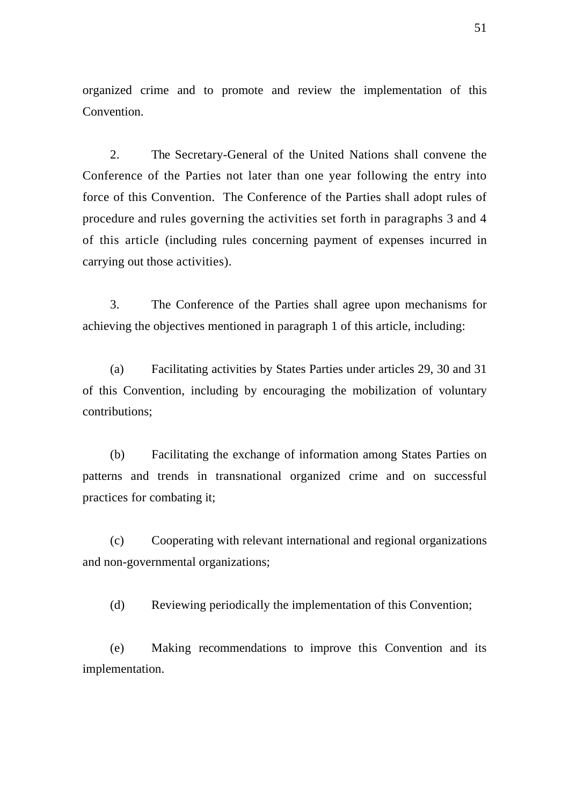organized crime and to promote and review the implementation of this Convention.

 2. The Secretary-General of the United Nations shall convene the Conference of the Parties not later than one year following the entry into force of this Convention. The Conference of the Parties shall adopt rules of procedure and rules governing the activities set forth in paragraphs 3 and 4 of this article (including rules concerning payment of expenses incurred in carrying out those activities).

 3. The Conference of the Parties shall agree upon mechanisms for achieving the objectives mentioned in paragraph 1 of this article, including:

 (a) Facilitating activities by States Parties under articles 29, 30 and 31 of this Convention, including by encouraging the mobilization of voluntary contributions;

 (b) Facilitating the exchange of information among States Parties on patterns and trends in transnational organized crime and on successful practices for combating it;

 (c) Cooperating with relevant international and regional organizations and non-governmental organizations;

(d) Reviewing periodically the implementation of this Convention;

 (e) Making recommendations to improve this Convention and its implementation.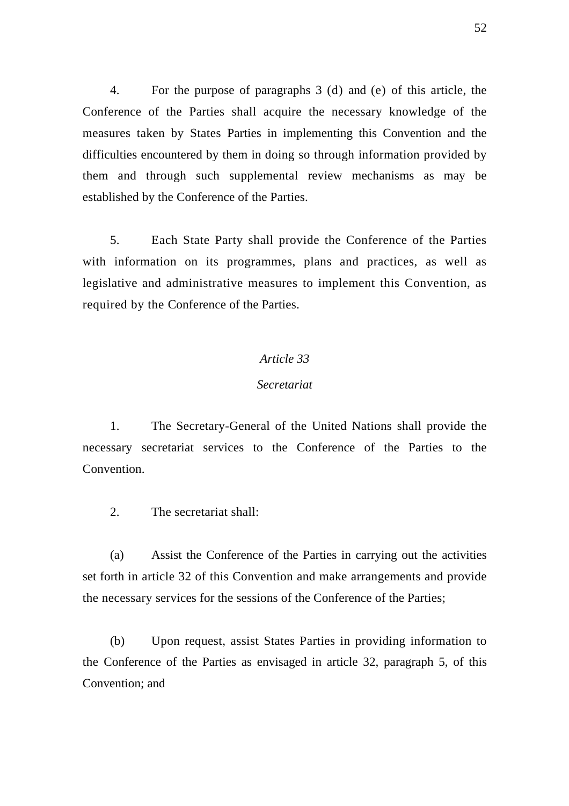4. For the purpose of paragraphs 3 (d) and (e) of this article, the Conference of the Parties shall acquire the necessary knowledge of the measures taken by States Parties in implementing this Convention and the difficulties encountered by them in doing so through information provided by them and through such supplemental review mechanisms as may be established by the Conference of the Parties.

 5. Each State Party shall provide the Conference of the Parties with information on its programmes, plans and practices, as well as legislative and administrative measures to implement this Convention, as required by the Conference of the Parties.

#### *Article 33*

### *Secretariat*

 1. The Secretary-General of the United Nations shall provide the necessary secretariat services to the Conference of the Parties to the **Convention** 

2. The secretariat shall:

 (a) Assist the Conference of the Parties in carrying out the activities set forth in article 32 of this Convention and make arrangements and provide the necessary services for the sessions of the Conference of the Parties;

 (b) Upon request, assist States Parties in providing information to the Conference of the Parties as envisaged in article 32, paragraph 5, of this Convention; and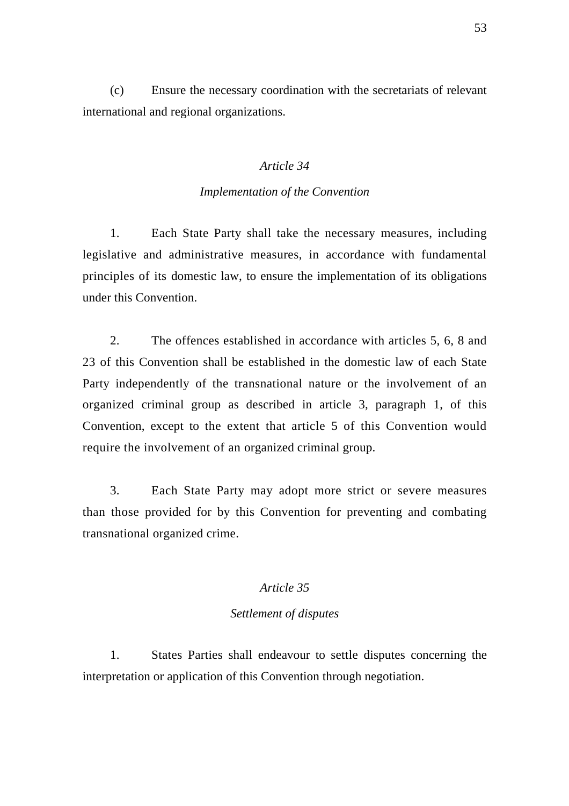(c) Ensure the necessary coordination with the secretariats of relevant international and regional organizations.

# *Article 34*

### *Implementation of the Convention*

 1. Each State Party shall take the necessary measures, including legislative and administrative measures, in accordance with fundamental principles of its domestic law, to ensure the implementation of its obligations under this Convention.

 2. The offences established in accordance with articles 5, 6, 8 and 23 of this Convention shall be established in the domestic law of each State Party independently of the transnational nature or the involvement of an organized criminal group as described in article 3, paragraph 1, of this Convention, except to the extent that article 5 of this Convention would require the involvement of an organized criminal group.

 3. Each State Party may adopt more strict or severe measures than those provided for by this Convention for preventing and combating transnational organized crime.

# *Article 35*

# *Settlement of disputes*

 1. States Parties shall endeavour to settle disputes concerning the interpretation or application of this Convention through negotiation.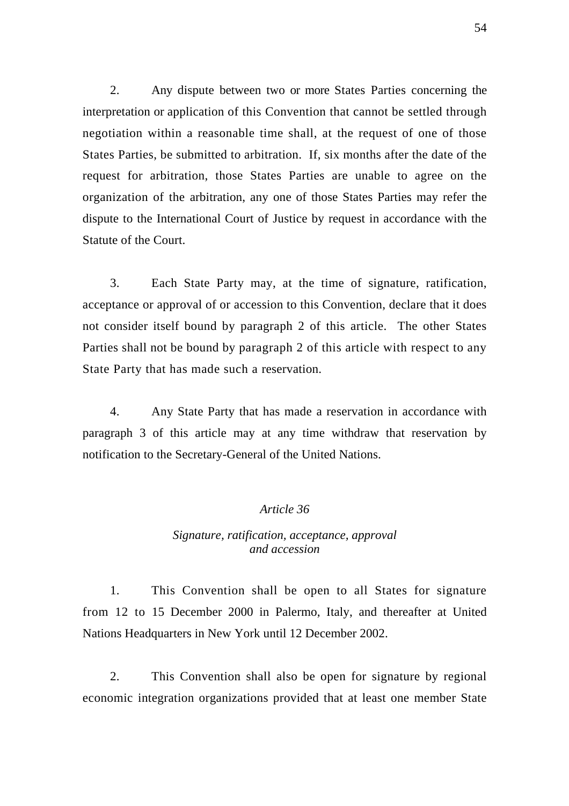2. Any dispute between two or more States Parties concerning the interpretation or application of this Convention that cannot be settled through negotiation within a reasonable time shall, at the request of one of those States Parties, be submitted to arbitration. If, six months after the date of the request for arbitration, those States Parties are unable to agree on the organization of the arbitration, any one of those States Parties may refer the dispute to the International Court of Justice by request in accordance with the Statute of the Court.

 3. Each State Party may, at the time of signature, ratification, acceptance or approval of or accession to this Convention, declare that it does not consider itself bound by paragraph 2 of this article. The other States Parties shall not be bound by paragraph 2 of this article with respect to any State Party that has made such a reservation.

 4. Any State Party that has made a reservation in accordance with paragraph 3 of this article may at any time withdraw that reservation by notification to the Secretary-General of the United Nations.

# *Article 36*

# *Signature, ratification, acceptance, approval and accession*

 1. This Convention shall be open to all States for signature from 12 to 15 December 2000 in Palermo, Italy, and thereafter at United Nations Headquarters in New York until 12 December 2002.

 2. This Convention shall also be open for signature by regional economic integration organizations provided that at least one member State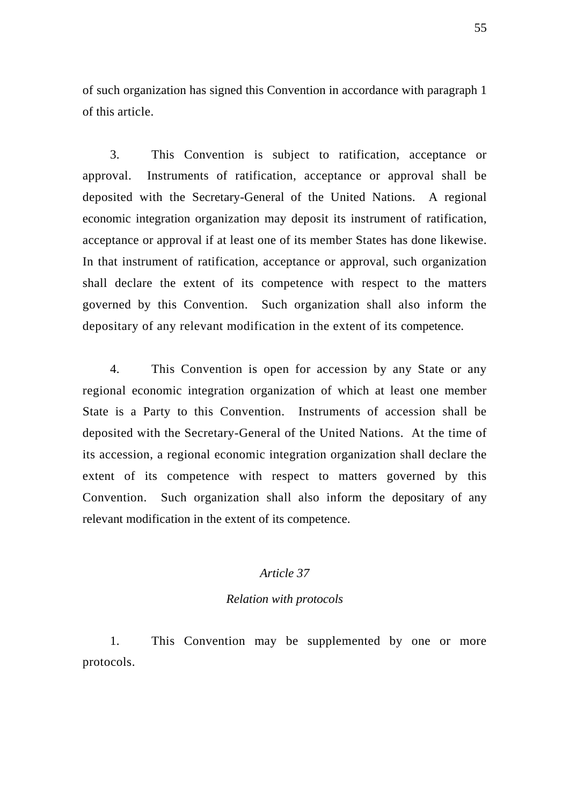of such organization has signed this Convention in accordance with paragraph 1 of this article.

 3. This Convention is subject to ratification, acceptance or approval. Instruments of ratification, acceptance or approval shall be deposited with the Secretary-General of the United Nations. A regional economic integration organization may deposit its instrument of ratification, acceptance or approval if at least one of its member States has done likewise. In that instrument of ratification, acceptance or approval, such organization shall declare the extent of its competence with respect to the matters governed by this Convention. Such organization shall also inform the depositary of any relevant modification in the extent of its competence.

 4. This Convention is open for accession by any State or any regional economic integration organization of which at least one member State is a Party to this Convention. Instruments of accession shall be deposited with the Secretary-General of the United Nations. At the time of its accession, a regional economic integration organization shall declare the extent of its competence with respect to matters governed by this Convention. Such organization shall also inform the depositary of any relevant modification in the extent of its competence.

# *Article 37*

#### *Relation with protocols*

 1. This Convention may be supplemented by one or more protocols.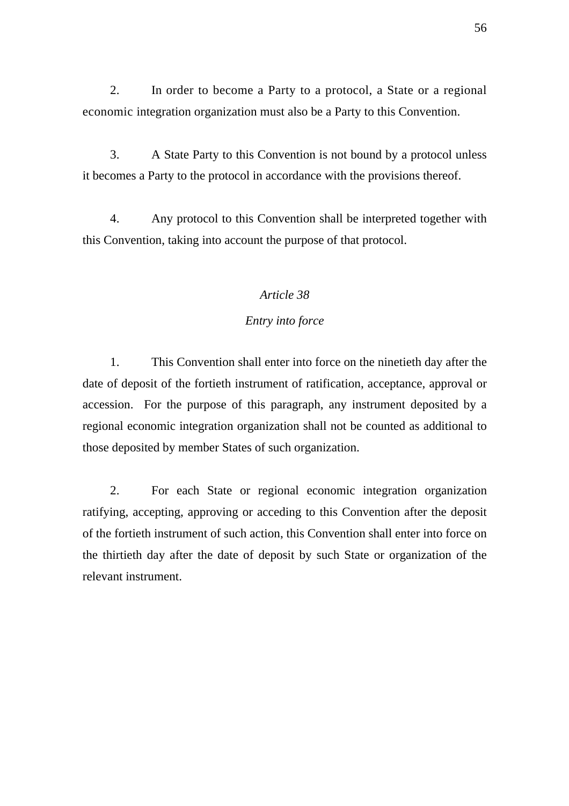2. In order to become a Party to a protocol, a State or a regional economic integration organization must also be a Party to this Convention.

 3. A State Party to this Convention is not bound by a protocol unless it becomes a Party to the protocol in accordance with the provisions thereof.

 4. Any protocol to this Convention shall be interpreted together with this Convention, taking into account the purpose of that protocol.

### *Article 38*

# *Entry into force*

 1. This Convention shall enter into force on the ninetieth day after the date of deposit of the fortieth instrument of ratification, acceptance, approval or accession. For the purpose of this paragraph, any instrument deposited by a regional economic integration organization shall not be counted as additional to those deposited by member States of such organization.

 2. For each State or regional economic integration organization ratifying, accepting, approving or acceding to this Convention after the deposit of the fortieth instrument of such action, this Convention shall enter into force on the thirtieth day after the date of deposit by such State or organization of the relevant instrument.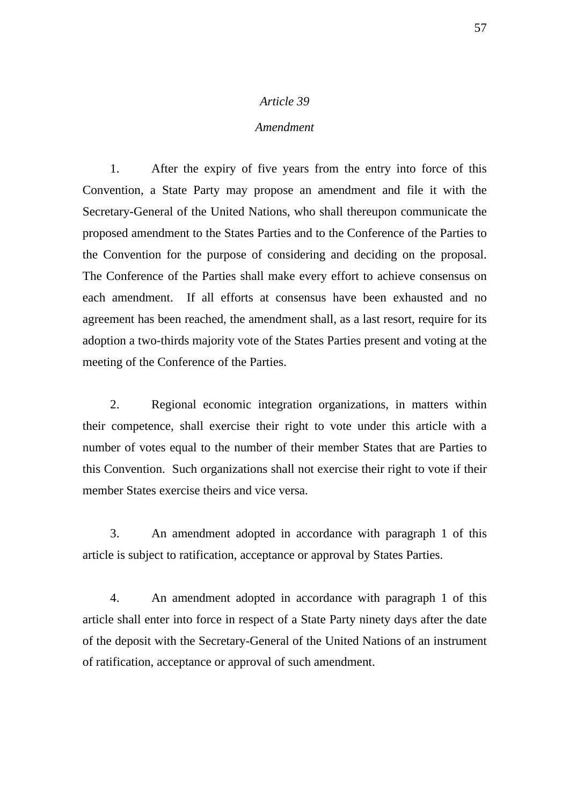### *Amendment*

 1. After the expiry of five years from the entry into force of this Convention, a State Party may propose an amendment and file it with the Secretary-General of the United Nations, who shall thereupon communicate the proposed amendment to the States Parties and to the Conference of the Parties to the Convention for the purpose of considering and deciding on the proposal. The Conference of the Parties shall make every effort to achieve consensus on each amendment. If all efforts at consensus have been exhausted and no agreement has been reached, the amendment shall, as a last resort, require for its adoption a two-thirds majority vote of the States Parties present and voting at the meeting of the Conference of the Parties.

 2. Regional economic integration organizations, in matters within their competence, shall exercise their right to vote under this article with a number of votes equal to the number of their member States that are Parties to this Convention. Such organizations shall not exercise their right to vote if their member States exercise theirs and vice versa.

 3. An amendment adopted in accordance with paragraph 1 of this article is subject to ratification, acceptance or approval by States Parties.

 4. An amendment adopted in accordance with paragraph 1 of this article shall enter into force in respect of a State Party ninety days after the date of the deposit with the Secretary-General of the United Nations of an instrument of ratification, acceptance or approval of such amendment.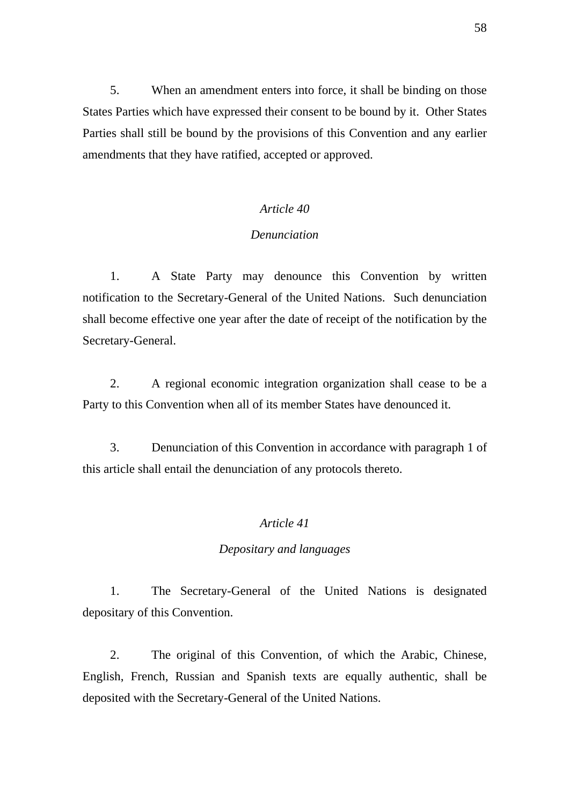5. When an amendment enters into force, it shall be binding on those States Parties which have expressed their consent to be bound by it. Other States Parties shall still be bound by the provisions of this Convention and any earlier amendments that they have ratified, accepted or approved.

# *Article 40*

### *Denunciation*

 1. A State Party may denounce this Convention by written notification to the Secretary-General of the United Nations. Such denunciation shall become effective one year after the date of receipt of the notification by the Secretary-General.

 2. A regional economic integration organization shall cease to be a Party to this Convention when all of its member States have denounced it.

 3. Denunciation of this Convention in accordance with paragraph 1 of this article shall entail the denunciation of any protocols thereto.

# *Article 41*

### *Depositary and languages*

 1. The Secretary-General of the United Nations is designated depositary of this Convention.

 2. The original of this Convention, of which the Arabic, Chinese, English, French, Russian and Spanish texts are equally authentic, shall be deposited with the Secretary-General of the United Nations.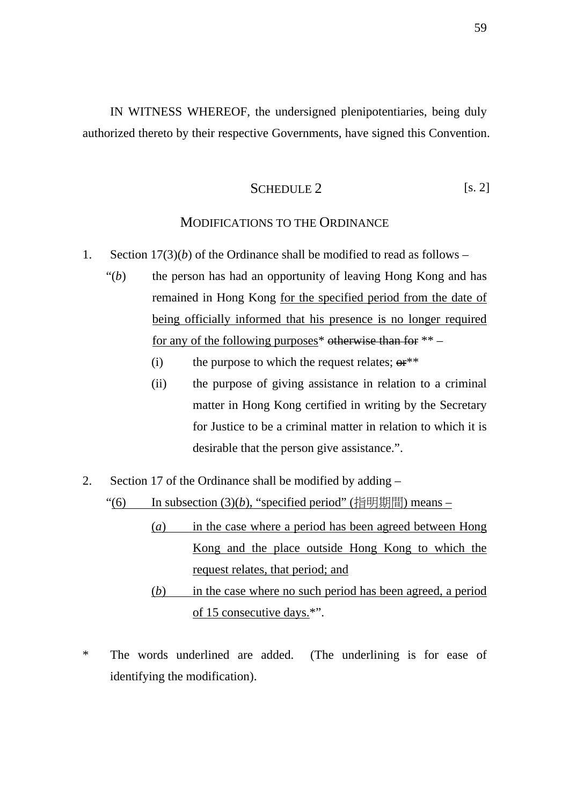IN WITNESS WHEREOF, the undersigned plenipotentiaries, being duly authorized thereto by their respective Governments, have signed this Convention.

SCHEDULE 2 [s. 2]

# MODIFICATIONS TO THE ORDINANCE

- 1. Section  $17(3)(b)$  of the Ordinance shall be modified to read as follows
	- "(*b*) the person has had an opportunity of leaving Hong Kong and has remained in Hong Kong for the specified period from the date of being officially informed that his presence is no longer required for any of the following purposes\* otherwise than for \*\* –
		- (i) the purpose to which the request relates;  $\theta$ <sup>\*\*</sup>
		- (ii) the purpose of giving assistance in relation to a criminal matter in Hong Kong certified in writing by the Secretary for Justice to be a criminal matter in relation to which it is desirable that the person give assistance.".
- 2. Section 17 of the Ordinance shall be modified by adding –

"(6) In subsection  $(3)(b)$ , "specified period" (指明期間) means –

- (*a*) in the case where a period has been agreed between Hong Kong and the place outside Hong Kong to which the request relates, that period; and
- (*b*) in the case where no such period has been agreed, a period of 15 consecutive days.\*".
- \* The words underlined are added. (The underlining is for ease of identifying the modification).